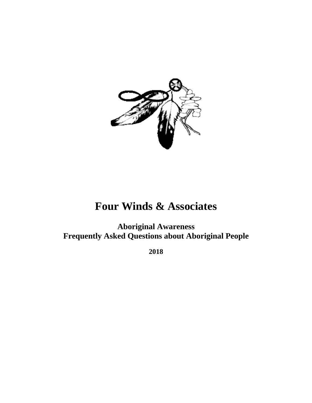

# **Four Winds & Associates**

**Aboriginal Awareness Frequently Asked Questions about Aboriginal People**

**2018**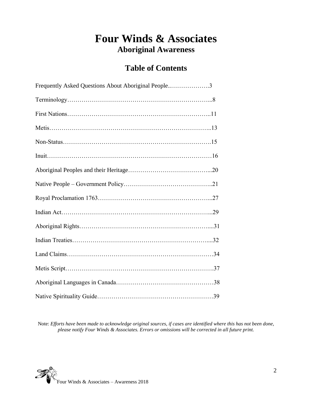# **Four Winds & Associates Aboriginal Awareness**

# **Table of Contents**

| Frequently Asked Questions About Aboriginal People3 |  |
|-----------------------------------------------------|--|
|                                                     |  |
|                                                     |  |
|                                                     |  |
|                                                     |  |
|                                                     |  |
|                                                     |  |
|                                                     |  |
|                                                     |  |
|                                                     |  |
|                                                     |  |
|                                                     |  |
|                                                     |  |
|                                                     |  |
|                                                     |  |
|                                                     |  |

Note: *Efforts have been made to acknowledge original sources, if cases are identified where this has not been done, please notify Four Winds & Associates. Errors or omissions will be corrected in all future print.*

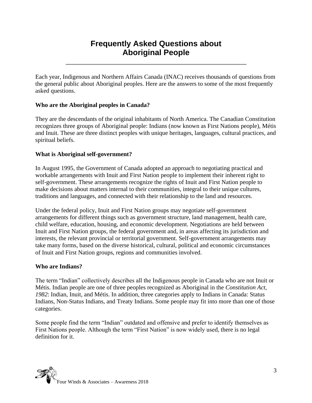# **Frequently Asked Questions about Aboriginal People**

Each year, Indigenous and Northern Affairs Canada (INAC) receives thousands of questions from the general public about Aboriginal peoples. Here are the answers to some of the most frequently asked questions.

### **Who are the Aboriginal peoples in Canada?**

They are the descendants of the original inhabitants of North America. The Canadian Constitution recognizes three groups of Aboriginal people: Indians (now known as First Nations people), Métis and Inuit. These are three distinct peoples with unique heritages, languages, cultural practices, and spiritual beliefs.

### **What is Aboriginal self-government?**

In August 1995, the Government of Canada adopted an approach to negotiating practical and workable arrangements with Inuit and First Nation people to implement their inherent right to self-government. These arrangements recognize the rights of Inuit and First Nation people to make decisions about matters internal to their communities, integral to their unique cultures, traditions and languages, and connected with their relationship to the land and resources.

Under the federal policy, Inuit and First Nation groups may negotiate self-government arrangements for different things such as government structure, land management, health care, child welfare, education, housing, and economic development. Negotiations are held between Inuit and First Nation groups, the federal government and, in areas affecting its jurisdiction and interests, the relevant provincial or territorial government. Self-government arrangements may take many forms, based on the diverse historical, cultural, political and economic circumstances of Inuit and First Nation groups, regions and communities involved.

# **Who are Indians?**

The term "Indian" collectively describes all the Indigenous people in Canada who are not Inuit or Métis. Indian people are one of three peoples recognized as Aboriginal in the *Constitution Act, 1982*: Indian, Inuit, and Métis. In addition, three categories apply to Indians in Canada: Status Indians, Non-Status Indians, and Treaty Indians. Some people may fit into more than one of those categories.

Some people find the term "Indian" outdated and offensive and prefer to identify themselves as First Nations people. Although the term "First Nation" is now widely used, there is no legal definition for it.

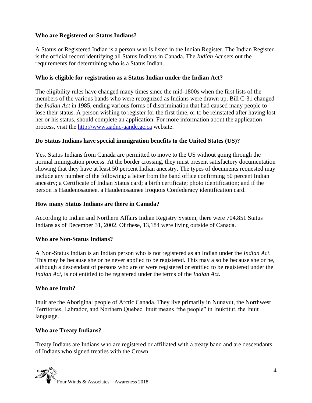# **Who are Registered or Status Indians?**

A Status or Registered Indian is a person who is listed in the Indian Register. The Indian Register is the official record identifying all Status Indians in Canada. The *Indian Act* sets out the requirements for determining who is a Status Indian.

# **Who is eligible for registration as a Status Indian under the Indian Act?**

The eligibility rules have changed many times since the mid-1800s when the first lists of the members of the various bands who were recognized as Indians were drawn up. Bill C-31 changed the *Indian Act* in 1985, ending various forms of discrimination that had caused many people to lose their status. A person wishing to register for the first time, or to be reinstated after having lost her or his status, should complete an application. For more information about the application process, visit the [http://www.aadnc-aandc.gc.ca](http://www.aadnc-aandc.gc.ca/) website.

### **Do Status Indians have special immigration benefits to the United States (US)?**

Yes. Status Indians from Canada are permitted to move to the US without going through the normal immigration process. At the border crossing, they must present satisfactory documentation showing that they have at least 50 percent Indian ancestry. The types of documents requested may include any number of the following: a letter from the band office confirming 50 percent Indian ancestry; a Certificate of Indian Status card; a birth certificate; photo identification; and if the person is Haudenosaunee, a Haudenosaunee Iroquois Confederacy identification card.

### **How many Status Indians are there in Canada?**

According to Indian and Northern Affairs Indian Registry System, there were 704,851 Status Indians as of December 31, 2002. Of these, 13,184 were living outside of Canada.

### **Who are Non-Status Indians?**

A Non-Status Indian is an Indian person who is not registered as an Indian under the *Indian Act*. This may be because she or he never applied to be registered. This may also be because she or he, although a descendant of persons who are or were registered or entitled to be registered under the *Indian Act*, is not entitled to be registered under the terms of the *Indian Act*.

### **Who are Inuit?**

Inuit are the Aboriginal people of Arctic Canada. They live primarily in Nunavut, the Northwest Territories, Labrador, and Northern Quebec. Inuit means "the people" in Inuktitut, the Inuit language.

### **Who are Treaty Indians?**

Treaty Indians are Indians who are registered or affiliated with a treaty band and are descendants of Indians who signed treaties with the Crown.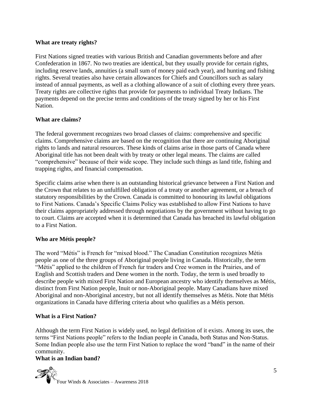# **What are treaty rights?**

First Nations signed treaties with various British and Canadian governments before and after Confederation in 1867. No two treaties are identical, but they usually provide for certain rights, including reserve lands, annuities (a small sum of money paid each year), and hunting and fishing rights. Several treaties also have certain allowances for Chiefs and Councillors such as salary instead of annual payments, as well as a clothing allowance of a suit of clothing every three years. Treaty rights are collective rights that provide for payments to individual Treaty Indians. The payments depend on the precise terms and conditions of the treaty signed by her or his First Nation.

# **What are claims?**

The federal government recognizes two broad classes of claims: comprehensive and specific claims. Comprehensive claims are based on the recognition that there are continuing Aboriginal rights to lands and natural resources. These kinds of claims arise in those parts of Canada where Aboriginal title has not been dealt with by treaty or other legal means. The claims are called "comprehensive" because of their wide scope. They include such things as land title, fishing and trapping rights, and financial compensation.

Specific claims arise when there is an outstanding historical grievance between a First Nation and the Crown that relates to an unfulfilled obligation of a treaty or another agreement, or a breach of statutory responsibilities by the Crown. Canada is committed to honouring its lawful obligations to First Nations. Canada's Specific Claims Policy was established to allow First Nations to have their claims appropriately addressed through negotiations by the government without having to go to court. Claims are accepted when it is determined that Canada has breached its lawful obligation to a First Nation.

# **Who are Métis people?**

The word "Métis" is French for "mixed blood." The Canadian Constitution recognizes Métis people as one of the three groups of Aboriginal people living in Canada. Historically, the term "Métis" applied to the children of French fur traders and Cree women in the Prairies, and of English and Scottish traders and Dene women in the north. Today, the term is used broadly to describe people with mixed First Nation and European ancestry who identify themselves as Métis, distinct from First Nation people, Inuit or non-Aboriginal people. Many Canadians have mixed Aboriginal and non-Aboriginal ancestry, but not all identify themselves as Métis. Note that Métis organizations in Canada have differing criteria about who qualifies as a Métis person.

# **What is a First Nation?**

Although the term First Nation is widely used, no legal definition of it exists. Among its uses, the terms "First Nations people" refers to the Indian people in Canada, both Status and Non-Status. Some Indian people also use the term First Nation to replace the word "band" in the name of their community.

# **What is an Indian band?**

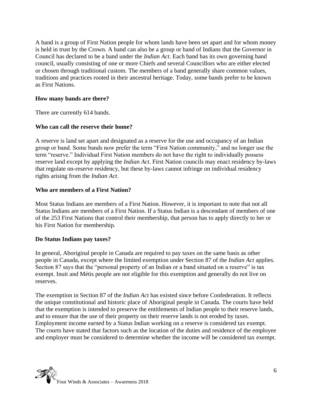A band is a group of First Nation people for whom lands have been set apart and for whom money is held in trust by the Crown. A band can also be a group or band of Indians that the Governor in Council has declared to be a band under the *Indian Act*. Each band has its own governing band council, usually consisting of one or more Chiefs and several Councillors who are either elected or chosen through traditional custom. The members of a band generally share common values, traditions and practices rooted in their ancestral heritage. Today, some bands prefer to be known as First Nations.

### **How many bands are there?**

There are currently 614 bands.

### **Who can call the reserve their home?**

A reserve is land set apart and designated as a reserve for the use and occupancy of an Indian group or band. Some bands now prefer the term "First Nation community," and no longer use the term "reserve." Individual First Nation members do not have the right to individually possess reserve land except by applying the *Indian Act*. First Nation councils may enact residency by-laws that regulate on-reserve residency, but these by-laws cannot infringe on individual residency rights arising from the *Indian Act*.

# **Who are members of a First Nation?**

Most Status Indians are members of a First Nation. However, it is important to note that not all Status Indians are members of a First Nation. If a Status Indian is a descendant of members of one of the 253 First Nations that control their membership, that person has to apply directly to her or his First Nation for membership.

### **Do Status Indians pay taxes?**

In general, Aboriginal people in Canada are required to pay taxes on the same basis as other people in Canada, except where the limited exemption under Section 87 of the *Indian Act* applies. Section 87 says that the "personal property of an Indian or a band situated on a reserve" is tax exempt. Inuit and Métis people are not eligible for this exemption and generally do not live on reserves.

The exemption in Section 87 of the *Indian Act* has existed since before Confederation. It reflects the unique constitutional and historic place of Aboriginal people in Canada. The courts have held that the exemption is intended to preserve the entitlements of Indian people to their reserve lands, and to ensure that the use of their property on their reserve lands is not eroded by taxes. Employment income earned by a Status Indian working on a reserve is considered tax exempt. The courts have stated that factors such as the location of the duties and residence of the employee and employer must be considered to determine whether the income will be considered tax exempt.

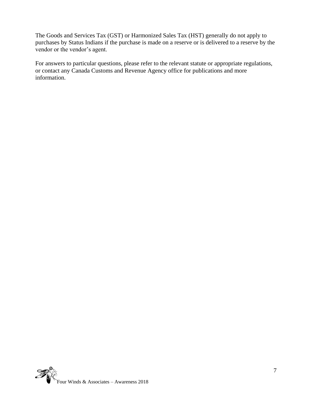The Goods and Services Tax (GST) or Harmonized Sales Tax (HST) generally do not apply to purchases by Status Indians if the purchase is made on a reserve or is delivered to a reserve by the vendor or the vendor's agent.

For answers to particular questions, please refer to the relevant statute or appropriate regulations, or contact any Canada Customs and Revenue Agency office for publications and more information.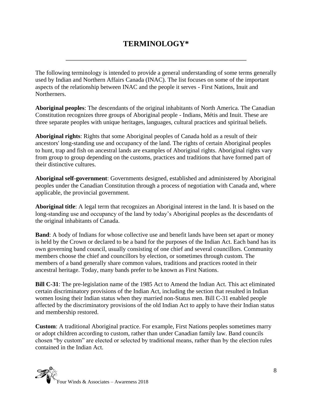# **TERMINOLOGY\***

The following terminology is intended to provide a general understanding of some terms generally used by Indian and Northern Affairs Canada (INAC). The list focuses on some of the important aspects of the relationship between INAC and the people it serves - First Nations, Inuit and Northerners.

**Aboriginal peoples**: The descendants of the original inhabitants of North America. The Canadian Constitution recognizes three groups of Aboriginal people - Indians, Métis and Inuit. These are three separate peoples with unique heritages, languages, cultural practices and spiritual beliefs.

**Aboriginal rights**: Rights that some Aboriginal peoples of Canada hold as a result of their ancestors' long-standing use and occupancy of the land. The rights of certain Aboriginal peoples to hunt, trap and fish on ancestral lands are examples of Aboriginal rights. Aboriginal rights vary from group to group depending on the customs, practices and traditions that have formed part of their distinctive cultures.

**Aboriginal self-government**: Governments designed, established and administered by Aboriginal peoples under the Canadian Constitution through a process of negotiation with Canada and, where applicable, the provincial government.

**Aboriginal title**: A legal term that recognizes an Aboriginal interest in the land. It is based on the long-standing use and occupancy of the land by today's Aboriginal peoples as the descendants of the original inhabitants of Canada.

**Band**: A body of Indians for whose collective use and benefit lands have been set apart or money is held by the Crown or declared to be a band for the purposes of the Indian Act. Each band has its own governing band council, usually consisting of one chief and several councillors. Community members choose the chief and councillors by election, or sometimes through custom. The members of a band generally share common values, traditions and practices rooted in their ancestral heritage. Today, many bands prefer to be known as First Nations.

**Bill C-31**: The pre-legislation name of the 1985 Act to Amend the Indian Act. This act eliminated certain discriminatory provisions of the Indian Act, including the section that resulted in Indian women losing their Indian status when they married non-Status men. Bill C-31 enabled people affected by the discriminatory provisions of the old Indian Act to apply to have their Indian status and membership restored.

**Custom**: A traditional Aboriginal practice. For example, First Nations peoples sometimes marry or adopt children according to custom, rather than under Canadian family law. Band councils chosen "by custom" are elected or selected by traditional means, rather than by the election rules contained in the Indian Act.

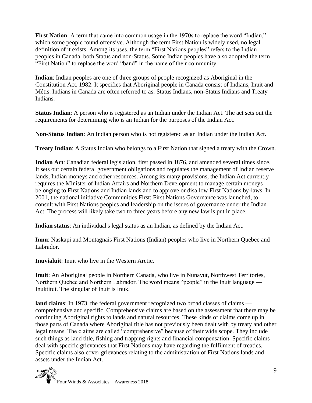**First Nation**: A term that came into common usage in the 1970s to replace the word "Indian," which some people found offensive. Although the term First Nation is widely used, no legal definition of it exists. Among its uses, the term "First Nations peoples" refers to the Indian peoples in Canada, both Status and non-Status. Some Indian peoples have also adopted the term "First Nation" to replace the word "band" in the name of their community.

**Indian**: Indian peoples are one of three groups of people recognized as Aboriginal in the Constitution Act, 1982. It specifies that Aboriginal people in Canada consist of Indians, Inuit and Métis. Indians in Canada are often referred to as: Status Indians, non-Status Indians and Treaty Indians.

**Status Indian**: A person who is registered as an Indian under the Indian Act. The act sets out the requirements for determining who is an Indian for the purposes of the Indian Act.

**Non-Status Indian**: An Indian person who is not registered as an Indian under the Indian Act.

**Treaty Indian**: A Status Indian who belongs to a First Nation that signed a treaty with the Crown.

**Indian Act**: Canadian federal legislation, first passed in 1876, and amended several times since. It sets out certain federal government obligations and regulates the management of Indian reserve lands, Indian moneys and other resources. Among its many provisions, the Indian Act currently requires the Minister of Indian Affairs and Northern Development to manage certain moneys belonging to First Nations and Indian lands and to approve or disallow First Nations by-laws. In 2001, the national initiative Communities First: First Nations Governance was launched, to consult with First Nations peoples and leadership on the issues of governance under the Indian Act. The process will likely take two to three years before any new law is put in place.

**Indian status**: An individual's legal status as an Indian, as defined by the Indian Act.

**Innu**: Naskapi and Montagnais First Nations (Indian) peoples who live in Northern Quebec and Labrador.

**Inuvialuit**: Inuit who live in the Western Arctic.

**Inuit**: An Aboriginal people in Northern Canada, who live in Nunavut, Northwest Territories, Northern Quebec and Northern Labrador. The word means "people" in the Inuit language — Inuktitut. The singular of Inuit is Inuk.

**land claims**: In 1973, the federal government recognized two broad classes of claims comprehensive and specific. Comprehensive claims are based on the assessment that there may be continuing Aboriginal rights to lands and natural resources. These kinds of claims come up in those parts of Canada where Aboriginal title has not previously been dealt with by treaty and other legal means. The claims are called "comprehensive" because of their wide scope. They include such things as land title, fishing and trapping rights and financial compensation. Specific claims deal with specific grievances that First Nations may have regarding the fulfilment of treaties. Specific claims also cover grievances relating to the administration of First Nations lands and assets under the Indian Act.

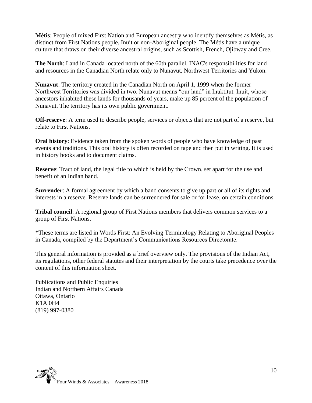**Métis**: People of mixed First Nation and European ancestry who identify themselves as Métis, as distinct from First Nations people, Inuit or non-Aboriginal people. The Métis have a unique culture that draws on their diverse ancestral origins, such as Scottish, French, Ojibway and Cree.

**The North**: Land in Canada located north of the 60th parallel. INAC's responsibilities for land and resources in the Canadian North relate only to Nunavut, Northwest Territories and Yukon.

**Nunavut**: The territory created in the Canadian North on April 1, 1999 when the former Northwest Territories was divided in two. Nunavut means "our land" in Inuktitut. Inuit, whose ancestors inhabited these lands for thousands of years, make up 85 percent of the population of Nunavut. The territory has its own public government.

**Off-reserve**: A term used to describe people, services or objects that are not part of a reserve, but relate to First Nations.

**Oral history**: Evidence taken from the spoken words of people who have knowledge of past events and traditions. This oral history is often recorded on tape and then put in writing. It is used in history books and to document claims.

**Reserve**: Tract of land, the legal title to which is held by the Crown, set apart for the use and benefit of an Indian band.

**Surrender**: A formal agreement by which a band consents to give up part or all of its rights and interests in a reserve. Reserve lands can be surrendered for sale or for lease, on certain conditions.

**Tribal council**: A regional group of First Nations members that delivers common services to a group of First Nations.

\*These terms are listed in Words First: An Evolving Terminology Relating to Aboriginal Peoples in Canada, compiled by the Department's Communications Resources Directorate.

This general information is provided as a brief overview only. The provisions of the Indian Act, its regulations, other federal statutes and their interpretation by the courts take precedence over the content of this information sheet.

Publications and Public Enquiries Indian and Northern Affairs Canada Ottawa, Ontario K1A 0H4 (819) 997-0380

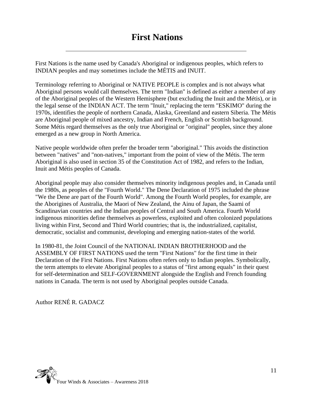First Nations is the name used by Canada's Aboriginal or indigenous peoples, which refers to INDIAN peoples and may sometimes include the MÉTIS and INUIT.

Terminology referring to Aboriginal or NATIVE PEOPLE is complex and is not always what Aboriginal persons would call themselves. The term "Indian" is defined as either a member of any of the Aboriginal peoples of the Western Hemisphere (but excluding the Inuit and the Métis), or in the legal sense of the INDIAN ACT. The term "Inuit," replacing the term "ESKIMO" during the 1970s, identifies the people of northern Canada, Alaska, Greenland and eastern Siberia. The Métis are Aboriginal people of mixed ancestry, Indian and French, English or Scottish background. Some Métis regard themselves as the only true Aboriginal or "original" peoples, since they alone emerged as a new group in North America.

Native people worldwide often prefer the broader term "aboriginal." This avoids the distinction between "natives" and "non-natives," important from the point of view of the Métis. The term Aboriginal is also used in section 35 of the Constitution Act of 1982, and refers to the Indian, Inuit and Métis peoples of Canada.

Aboriginal people may also consider themselves minority indigenous peoples and, in Canada until the 1980s, as peoples of the "Fourth World." The Dene Declaration of 1975 included the phrase "We the Dene are part of the Fourth World". Among the Fourth World peoples, for example, are the Aborigines of Australia, the Maori of New Zealand, the Ainu of Japan, the Saami of Scandinavian countries and the Indian peoples of Central and South America. Fourth World indigenous minorities define themselves as powerless, exploited and often colonized populations living within First, Second and Third World countries; that is, the industrialized, capitalist, democratic, socialist and communist, developing and emerging nation-states of the world.

In 1980-81, the Joint Council of the NATIONAL INDIAN BROTHERHOOD and the ASSEMBLY OF FIRST NATIONS used the term "First Nations" for the first time in their Declaration of the First Nations. First Nations often refers only to Indian peoples. Symbolically, the term attempts to elevate Aboriginal peoples to a status of "first among equals" in their quest for self-determination and SELF-GOVERNMENT alongside the English and French founding nations in Canada. The term is not used by Aboriginal peoples outside Canada.

Author RENÉ R. GADACZ

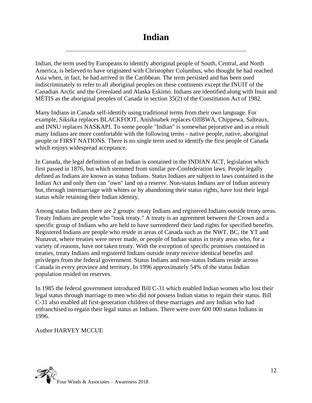Indian, the term used by Europeans to identify aboriginal people of South, Central, and North America, is believed to have originated with Christopher Columbus, who thought he had reached Asia when, in fact, he had arrived in the Caribbean. The term persisted and has been used indiscriminately to refer to all aboriginal peoples on these continents except the INUIT of the Canadian Arctic and the Greenland and Alaska Eskimo. Indians are identified along with Inuit and MÉTIS as the aboriginal peoples of Canada in section 35(2) of the Constitution Act of 1982.

Many Indians in Canada self-identify using traditional terms from their own language. For example, Siksika replaces BLACKFOOT, Anishnabek replaces OJIBWA, Chippewa, Salteaux, and INNU replaces NASKAPI. To some people "Indian" is somewhat pejorative and as a result many Indians are more comfortable with the following terms - native people, native, aboriginal people or FIRST NATIONS. There is no single term used to identify the first people of Canada which enjoys widespread acceptance.

In Canada, the legal definition of an Indian is contained in the INDIAN ACT, legislation which first passed in 1876, but which stemmed from similar pre-Confederation laws. People legally defined as Indians are known as status Indians. Status Indians are subject to laws contained in the Indian Act and only then can "own" land on a reserve. Non-status Indians are of Indian ancestry but, through intermarriage with whites or by abandoning their status rights, have lost their legal status while retaining their Indian identity.

Among status Indians there are 2 groups: treaty Indians and registered Indians outside treaty areas. Treaty Indians are people who "took treaty." A treaty is an agreement between the Crown and a specific group of Indians who are held to have surrendered their land rights for specified benefits. Registered Indians are people who reside in areas of Canada such as the NWT, BC, the YT and Nunavut, where treaties were never made, or people of Indian status in treaty areas who, for a variety of reasons, have not taken treaty. With the exception of specific promises contained in treaties, treaty Indians and registered Indians outside treaty receive identical benefits and privileges from the federal government. Status Indians and non-status Indians reside across Canada in every province and territory. In 1996 approximately 54% of the status Indian population resided on reserves.

In 1985 the federal government introduced Bill C-31 which enabled Indian women who lost their legal status through marriage to men who did not possess Indian status to regain their status. Bill C-31 also enabled all first-generation children of these marriages and any Indian who had enfranchised to regain their legal status as Indians. There were over 600 000 status Indians in 1996.

Author HARVEY MCCUE

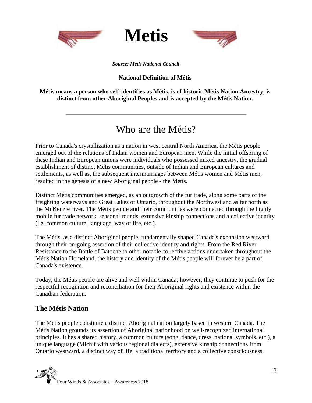





*Source: Metis National Council*

# **National Definition of Métis**

**Métis means a person who self-identifies as Métis, is of historic Métis Nation Ancestry, is distinct from other Aboriginal Peoples and is accepted by the Métis Nation.**

# Who are the Métis?

Prior to Canada's crystallization as a nation in west central North America, the Métis people emerged out of the relations of Indian women and European men. While the initial offspring of these Indian and European unions were individuals who possessed mixed ancestry, the gradual establishment of distinct Métis communities, outside of Indian and European cultures and settlements, as well as, the subsequent intermarriages between Métis women and Métis men, resulted in the genesis of a new Aboriginal people - the Métis.

Distinct Métis communities emerged, as an outgrowth of the fur trade, along some parts of the freighting waterways and Great Lakes of Ontario, throughout the Northwest and as far north as the McKenzie river. The Métis people and their communities were connected through the highly mobile fur trade network, seasonal rounds, extensive kinship connections and a collective identity (i.e. common culture, language, way of life, etc.).

The Métis, as a distinct Aboriginal people, fundamentally shaped Canada's expansion westward through their on-going assertion of their collective identity and rights. From the Red River Resistance to the Battle of Batoche to other notable collective actions undertaken throughout the Métis Nation Homeland, the history and identity of the Métis people will forever be a part of Canada's existence.

Today, the Métis people are alive and well within Canada; however, they continue to push for the respectful recognition and reconciliation for their Aboriginal rights and existence within the Canadian federation.

# **The Métis Nation**

The Métis people constitute a distinct Aboriginal nation largely based in western Canada. The Métis Nation grounds its assertion of Aboriginal nationhood on well-recognized international principles. It has a shared history, a common culture (song, dance, dress, national symbols, etc.), a unique language (Michif with various regional dialects), extensive kinship connections from Ontario westward, a distinct way of life, a traditional territory and a collective consciousness.

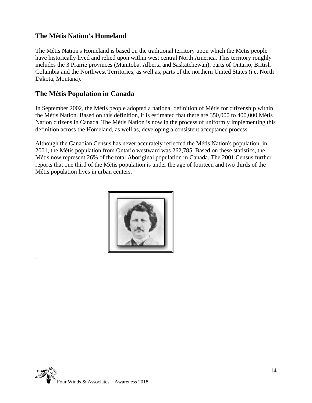# **The Métis Nation's Homeland**

The Métis Nation's Homeland is based on the traditional territory upon which the Métis people have historically lived and relied upon within west central North America. This territory roughly includes the 3 Prairie provinces (Manitoba, Alberta and Saskatchewan), parts of Ontario, British Columbia and the Northwest Territories, as well as, parts of the northern United States (i.e. North Dakota, Montana).

# **The Métis Population in Canada**

In September 2002, the Métis people adopted a national definition of Métis for citizenship within the Métis Nation. Based on this definition, it is estimated that there are 350,000 to 400,000 Métis Nation citizens in Canada. The Métis Nation is now in the process of uniformly implementing this definition across the Homeland, as well as, developing a consistent acceptance process.

Although the Canadian Census has never accurately reflected the Métis Nation's population, in 2001, the Métis population from Ontario westward was 262,785. Based on these statistics, the Métis now represent 26% of the total Aboriginal population in Canada. The 2001 Census further reports that one third of the Métis population is under the age of fourteen and two thirds of the Métis population lives in urban centers.





.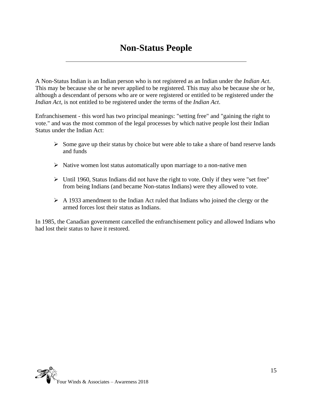A Non-Status Indian is an Indian person who is not registered as an Indian under the *Indian Act*. This may be because she or he never applied to be registered. This may also be because she or he, although a descendant of persons who are or were registered or entitled to be registered under the *Indian Act*, is not entitled to be registered under the terms of the *Indian Act*.

Enfranchisement - this word has two principal meanings: "setting free" and "gaining the right to vote." and was the most common of the legal processes by which native people lost their Indian Status under the Indian Act:

- ➢ Some gave up their status by choice but were able to take a share of band reserve lands and funds
- $\triangleright$  Native women lost status automatically upon marriage to a non-native men
- ➢ Until 1960, Status Indians did not have the right to vote. Only if they were "set free" from being Indians (and became Non-status Indians) were they allowed to vote.
- $\triangleright$  A 1933 amendment to the Indian Act ruled that Indians who joined the clergy or the armed forces lost their status as Indians.

In 1985, the Canadian government cancelled the enfranchisement policy and allowed Indians who had lost their status to have it restored.

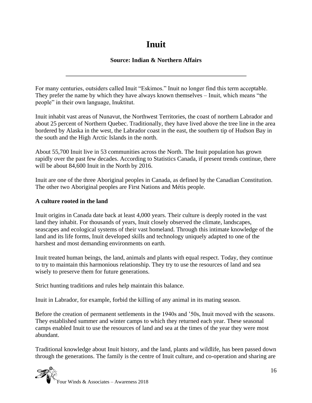# **Inuit**

# **Source: Indian & Northern Affairs**

For many centuries, outsiders called Inuit "Eskimos." Inuit no longer find this term acceptable. They prefer the name by which they have always known themselves – Inuit, which means "the people" in their own language, Inuktitut.

Inuit inhabit vast areas of Nunavut, the Northwest Territories, the coast of northern Labrador and about 25 percent of Northern Quebec. Traditionally, they have lived above the tree line in the area bordered by Alaska in the west, the Labrador coast in the east, the southern tip of Hudson Bay in the south and the High Arctic Islands in the north.

About 55,700 Inuit live in 53 communities across the North. The Inuit population has grown rapidly over the past few decades. According to Statistics Canada, if present trends continue, there will be about 84,600 Inuit in the North by 2016.

Inuit are one of the three Aboriginal peoples in Canada, as defined by the Canadian Constitution. The other two Aboriginal peoples are First Nations and Métis people.

### **A culture rooted in the land**

Inuit origins in Canada date back at least 4,000 years. Their culture is deeply rooted in the vast land they inhabit. For thousands of years, Inuit closely observed the climate, landscapes, seascapes and ecological systems of their vast homeland. Through this intimate knowledge of the land and its life forms, Inuit developed skills and technology uniquely adapted to one of the harshest and most demanding environments on earth.

Inuit treated human beings, the land, animals and plants with equal respect. Today, they continue to try to maintain this harmonious relationship. They try to use the resources of land and sea wisely to preserve them for future generations.

Strict hunting traditions and rules help maintain this balance.

Inuit in Labrador, for example, forbid the killing of any animal in its mating season.

Before the creation of permanent settlements in the 1940s and '50s, Inuit moved with the seasons. They established summer and winter camps to which they returned each year. These seasonal camps enabled Inuit to use the resources of land and sea at the times of the year they were most abundant.

Traditional knowledge about Inuit history, and the land, plants and wildlife, has been passed down through the generations. The family is the centre of Inuit culture, and co-operation and sharing are

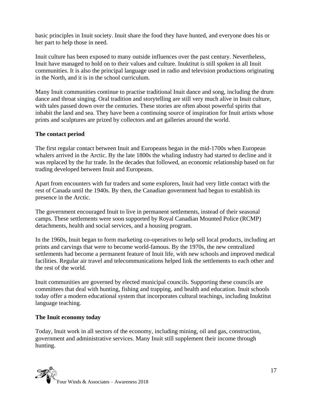basic principles in Inuit society. Inuit share the food they have hunted, and everyone does his or her part to help those in need.

Inuit culture has been exposed to many outside influences over the past century. Nevertheless, Inuit have managed to hold on to their values and culture. Inuktitut is still spoken in all Inuit communities. It is also the principal language used in radio and television productions originating in the North, and it is in the school curriculum.

Many Inuit communities continue to practise traditional Inuit dance and song, including the drum dance and throat singing. Oral tradition and storytelling are still very much alive in Inuit culture, with tales passed down over the centuries. These stories are often about powerful spirits that inhabit the land and sea. They have been a continuing source of inspiration for Inuit artists whose prints and sculptures are prized by collectors and art galleries around the world.

# **The contact period**

The first regular contact between Inuit and Europeans began in the mid-1700s when European whalers arrived in the Arctic. By the late 1800s the whaling industry had started to decline and it was replaced by the fur trade. In the decades that followed, an economic relationship based on fur trading developed between Inuit and Europeans.

Apart from encounters with fur traders and some explorers, Inuit had very little contact with the rest of Canada until the 1940s. By then, the Canadian government had begun to establish its presence in the Arctic.

The government encouraged Inuit to live in permanent settlements, instead of their seasonal camps. These settlements were soon supported by Royal Canadian Mounted Police (RCMP) detachments, health and social services, and a housing program.

In the 1960s, Inuit began to form marketing co-operatives to help sell local products, including art prints and carvings that were to become world-famous. By the 1970s, the new centralized settlements had become a permanent feature of Inuit life, with new schools and improved medical facilities. Regular air travel and telecommunications helped link the settlements to each other and the rest of the world.

Inuit communities are governed by elected municipal councils. Supporting these councils are committees that deal with hunting, fishing and trapping, and health and education. Inuit schools today offer a modern educational system that incorporates cultural teachings, including Inuktitut language teaching.

# **The Inuit economy today**

Today, Inuit work in all sectors of the economy, including mining, oil and gas, construction, government and administrative services. Many Inuit still supplement their income through hunting.

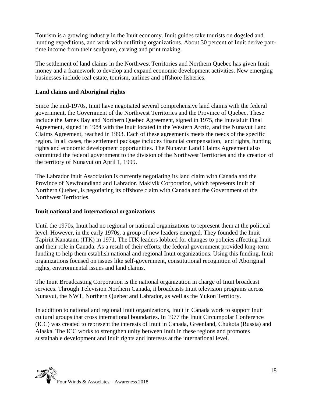Tourism is a growing industry in the Inuit economy. Inuit guides take tourists on dogsled and hunting expeditions, and work with outfitting organizations. About 30 percent of Inuit derive parttime income from their sculpture, carving and print making.

The settlement of land claims in the Northwest Territories and Northern Quebec has given Inuit money and a framework to develop and expand economic development activities. New emerging businesses include real estate, tourism, airlines and offshore fisheries.

# **Land claims and Aboriginal rights**

Since the mid-1970s, Inuit have negotiated several comprehensive land claims with the federal government, the Government of the Northwest Territories and the Province of Quebec. These include the James Bay and Northern Quebec Agreement, signed in 1975, the Inuvialuit Final Agreement, signed in 1984 with the Inuit located in the Western Arctic, and the Nunavut Land Claims Agreement, reached in 1993. Each of these agreements meets the needs of the specific region. In all cases, the settlement package includes financial compensation, land rights, hunting rights and economic development opportunities. The Nunavut Land Claims Agreement also committed the federal government to the division of the Northwest Territories and the creation of the territory of Nunavut on April 1, 1999.

The Labrador Inuit Association is currently negotiating its land claim with Canada and the Province of Newfoundland and Labrador. Makivik Corporation, which represents Inuit of Northern Quebec, is negotiating its offshore claim with Canada and the Government of the Northwest Territories.

# **Inuit national and international organizations**

Until the 1970s, Inuit had no regional or national organizations to represent them at the political level. However, in the early 1970s, a group of new leaders emerged. They founded the Inuit Tapiriit Kanatami (ITK) in 1971. The ITK leaders lobbied for changes to policies affecting Inuit and their role in Canada. As a result of their efforts, the federal government provided long-term funding to help them establish national and regional Inuit organizations. Using this funding, Inuit organizations focused on issues like self-government, constitutional recognition of Aboriginal rights, environmental issues and land claims.

The Inuit Broadcasting Corporation is the national organization in charge of Inuit broadcast services. Through Television Northern Canada, it broadcasts Inuit television programs across Nunavut, the NWT, Northern Quebec and Labrador, as well as the Yukon Territory.

In addition to national and regional Inuit organizations, Inuit in Canada work to support Inuit cultural groups that cross international boundaries. In 1977 the Inuit Circumpolar Conference (ICC) was created to represent the interests of Inuit in Canada, Greenland, Chukota (Russia) and Alaska. The ICC works to strengthen unity between Inuit in these regions and promotes sustainable development and Inuit rights and interests at the international level.

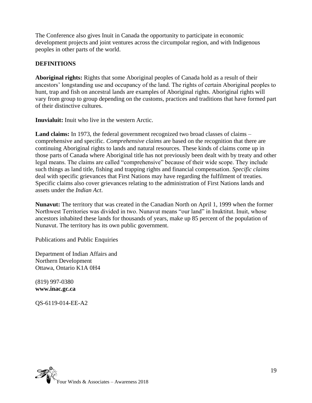The Conference also gives Inuit in Canada the opportunity to participate in economic development projects and joint ventures across the circumpolar region, and with Indigenous peoples in other parts of the world.

# **DEFINITIONS**

**Aboriginal rights:** Rights that some Aboriginal peoples of Canada hold as a result of their ancestors' longstanding use and occupancy of the land. The rights of certain Aboriginal peoples to hunt, trap and fish on ancestral lands are examples of Aboriginal rights. Aboriginal rights will vary from group to group depending on the customs, practices and traditions that have formed part of their distinctive cultures.

**Inuvialuit:** Inuit who live in the western Arctic.

**Land claims:** In 1973, the federal government recognized two broad classes of claims – comprehensive and specific. *Comprehensive claims* are based on the recognition that there are continuing Aboriginal rights to lands and natural resources. These kinds of claims come up in those parts of Canada where Aboriginal title has not previously been dealt with by treaty and other legal means. The claims are called "comprehensive" because of their wide scope. They include such things as land title, fishing and trapping rights and financial compensation. *Specific claims*  deal with specific grievances that First Nations may have regarding the fulfilment of treaties. Specific claims also cover grievances relating to the administration of First Nations lands and assets under the *Indian Act*.

**Nunavut:** The territory that was created in the Canadian North on April 1, 1999 when the former Northwest Territories was divided in two. Nunavut means "our land" in Inuktitut. Inuit, whose ancestors inhabited these lands for thousands of years, make up 85 percent of the population of Nunavut. The territory has its own public government.

Publications and Public Enquiries

Department of Indian Affairs and Northern Development Ottawa, Ontario K1A 0H4

(819) 997-0380 **www.inac.gc.ca**

QS-6119-014-EE-A2

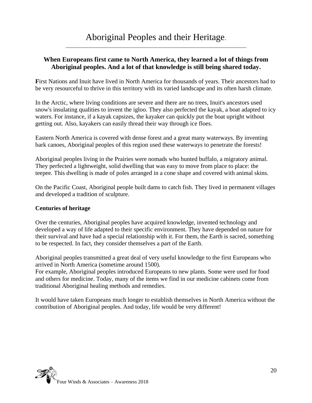# **When Europeans first came to North America, they learned a lot of things from Aboriginal peoples. And a lot of that knowledge is still being shared today.**

**F**irst Nations and Inuit have lived in North America for thousands of years. Their ancestors had to be very resourceful to thrive in this territory with its varied landscape and its often harsh climate.

In the Arctic, where living conditions are severe and there are no trees, Inuit's ancestors used snow's insulating qualities to invent the igloo. They also perfected the kayak, a boat adapted to icy waters. For instance, if a kayak capsizes, the kayaker can quickly put the boat upright without getting out. Also, kayakers can easily thread their way through ice floes.

Eastern North America is covered with dense forest and a great many waterways. By inventing bark canoes, Aboriginal peoples of this region used these waterways to penetrate the forests!

Aboriginal peoples living in the Prairies were nomads who hunted buffalo, a migratory animal. They perfected a lightweight, solid dwelling that was easy to move from place to place: the teepee. This dwelling is made of poles arranged in a cone shape and covered with animal skins.

On the Pacific Coast, Aboriginal people built dams to catch fish. They lived in permanent villages and developed a tradition of sculpture.

# **Centuries of heritage**

Over the centuries, Aboriginal peoples have acquired knowledge, invented technology and developed a way of life adapted to their specific environment. They have depended on nature for their survival and have had a special relationship with it. For them, the Earth is sacred, something to be respected. In fact, they consider themselves a part of the Earth.

Aboriginal peoples transmitted a great deal of very useful knowledge to the first Europeans who arrived in North America (sometime around 1500).

For example, Aboriginal peoples introduced Europeans to new plants. Some were used for food and others for medicine. Today, many of the items we find in our medicine cabinets come from traditional Aboriginal healing methods and remedies.

It would have taken Europeans much longer to establish themselves in North America without the contribution of Aboriginal peoples. And today, life would be very different!

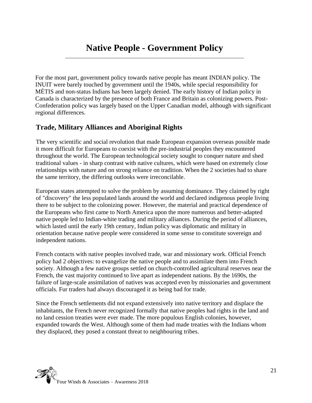For the most part, government policy towards native people has meant [INDIAN](../../Four%20Winds%202017/Four%20Winds%202015/My%20Documents/Dan) policy. The [INUIT](../../Four%20Winds%202017/Four%20Winds%202015/My%20Documents/Dan) were barely touched by government until the 1940s, while special responsibility for [MÉTIS](../../Four%20Winds%202017/Four%20Winds%202015/My%20Documents/Dan) and non-status Indians has been largely denied. The early history of Indian policy in Canada is characterized by the presence of both France and Britain as colonizing powers. Post-Confederation policy was largely based on the Upper Canadian model, although with significant regional differences.

# **Trade, Military Alliances and Aboriginal Rights**

The very scientific and social revolution that made European expansion overseas possible made it more difficult for Europeans to coexist with the pre-industrial peoples they encountered throughout the world. The European technological society sought to conquer nature and shed traditional values - in sharp contrast with native cultures, which were based on extremely close relationships with nature and on strong reliance on tradition. When the 2 societies had to share the same territory, the differing outlooks were irreconcilable.

European states attempted to solve the problem by assuming dominance. They claimed by right of "discovery" the less populated lands around the world and declared indigenous people living there to be subject to the colonizing power. However, the material and practical dependence of the Europeans who first came to North America upon the more numerous and better-adapted native people led to Indian-white trading and military alliances. During the period of alliances, which lasted until the early 19th century, Indian policy was diplomatic and military in orientation because native people were considered in some sense to constitute sovereign and independent nations.

French contacts with native peoples involved trade, war and missionary work. Official French policy had 2 objectives: to evangelize the native people and to assimilate them into French society. Although a few native groups settled on church-controlled agricultural reserves near the French, the vast majority continued to live apart as independent nations. By the 1690s, the failure of large-scale assimilation of natives was accepted even by missionaries and government officials. Fur traders had always discouraged it as being bad for trade.

Since the French settlements did not expand extensively into native territory and displace the inhabitants, the French never recognized formally that native peoples had rights in the land and no land cession treaties were ever made. The more populous English colonies, however, expanded towards the West. Although some of them had made treaties with the Indians whom they displaced, they posed a constant threat to neighbouring tribes.

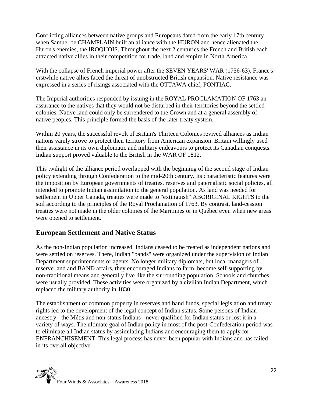Conflicting alliances between native groups and Europeans dated from the early 17th century when Samuel de [CHAMPLAIN](../../Four%20Winds%202017/Four%20Winds%202015/My%20Documents/Dan) built an alliance with the [HURON](../../Four%20Winds%202017/Four%20Winds%202015/My%20Documents/Dan) and hence alienated the Huron's enemies, the [IROQUOIS.](../../Four%20Winds%202017/Four%20Winds%202015/My%20Documents/Dan) Throughout the next 2 centuries the French and British each attracted native allies in their competition for trade, land and empire in North America.

With the collapse of French imperial power after the [SEVEN YEARS' WAR](../../Four%20Winds%202017/Four%20Winds%202015/My%20Documents/Dan) (1756-63), France's erstwhile native allies faced the threat of unobstructed British expansion. Native resistance was expressed in a series of risings associated with the [OTTAWA](../../Four%20Winds%202017/Four%20Winds%202015/My%20Documents/Dan) chief, [PONTIAC.](../../Four%20Winds%202017/Four%20Winds%202015/My%20Documents/Dan)

The Imperial authorities responded by issuing in the [ROYAL PROCLAMATION OF 1763](../../Four%20Winds%202017/Four%20Winds%202015/My%20Documents/Dan) an assurance to the natives that they would not be disturbed in their territories beyond the settled colonies. Native land could only be surrendered to the Crown and at a general assembly of native peoples. This principle formed the basis of the later treaty system.

Within 20 years, the successful revolt of Britain's Thirteen Colonies revived alliances as Indian nations vainly strove to protect their territory from American expansion. Britain willingly used their assistance in its own diplomatic and military endeavours to protect its Canadian conquests. Indian support proved valuable to the British in the [WAR OF 1812.](../../Four%20Winds%202017/Four%20Winds%202015/My%20Documents/Dan)

This twilight of the alliance period overlapped with the beginning of the second stage of Indian policy extending through Confederation to the mid-20th century. Its characteristic features were the imposition by European governments of treaties, reserves and paternalistic social policies, all intended to promote Indian assimilation to the general population. As land was needed for settlement in Upper Canada, treaties were made to "extinguish" [ABORIGINAL RIGHTS](../../Four%20Winds%202017/Four%20Winds%202015/My%20Documents/Dan) to the soil according to the principles of the Royal Proclamation of 1763. By contrast, land-cession treaties were not made in the older colonies of the Maritimes or in Québec even when new areas were opened to settlement.

# **European Settlement and Native Status**

As the non-Indian population increased, Indians ceased to be treated as independent nations and were settled on reserves. There, Indian "bands" were organized under the supervision of Indian Department superintendents or agents. No longer military diplomats, but local managers of reserve land and [BAND](../../Four%20Winds%202017/Four%20Winds%202015/My%20Documents/Dan) affairs, they encouraged Indians to farm, become self-supporting by non-traditional means and generally live like the surrounding population. Schools and churches were usually provided. These activities were organized by a civilian Indian Department, which replaced the military authority in 1830.

The establishment of common property in reserves and band funds, special legislation and treaty rights led to the development of the legal concept of Indian status. Some persons of Indian ancestry - the Métis and non-status Indians - never qualified for Indian status or lost it in a variety of ways. The ultimate goal of Indian policy in most of the post-Confederation period was to eliminate all Indian status by assimilating Indians and encouraging them to apply for [ENFRANCHISEMENT.](../../Four%20Winds%202017/Four%20Winds%202015/My%20Documents/Dan) This legal process has never been popular with Indians and has failed in its overall objective.

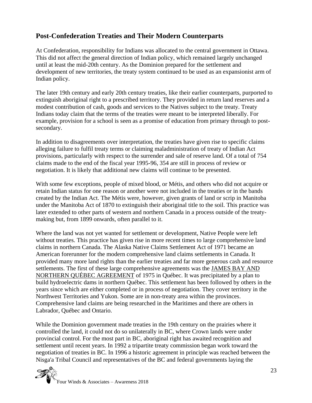# **Post-Confederation Treaties and Their Modern Counterparts**

At Confederation, responsibility for Indians was allocated to the central government in Ottawa. This did not affect the general direction of Indian policy, which remained largely unchanged until at least the mid-20th century. As the Dominion prepared for the settlement and development of new territories, the treaty system continued to be used as an expansionist arm of Indian policy.

The later 19th century and early 20th century treaties, like their earlier counterparts, purported to extinguish aboriginal right to a prescribed territory. They provided in return land reserves and a modest contribution of cash, goods and services to the Natives subject to the treaty. Treaty Indians today claim that the terms of the treaties were meant to be interpreted liberally. For example, provision for a school is seen as a promise of education from primary through to postsecondary.

In addition to disagreements over interpretation, the treaties have given rise to specific claims alleging failure to fulfil treaty terms or claiming maladministration of treaty of Indian Act provisions, particularly with respect to the surrender and sale of reserve land. Of a total of 754 claims made to the end of the fiscal year 1995-96, 354 are still in process of review or negotiation. It is likely that additional new claims will continue to be presented.

With some few exceptions, people of mixed blood, or Métis, and others who did not acquire or retain Indian status for one reason or another were not included in the treaties or in the bands created by the Indian Act. The Métis were, however, given grants of land or scrip in Manitoba under the Manitoba Act of 1870 to extinguish their aboriginal title to the soil. This practice was later extended to other parts of western and northern Canada in a process outside of the treatymaking but, from 1899 onwards, often parallel to it.

Where the land was not yet wanted for settlement or development, Native People were left without treaties. This practice has given rise in more recent times to large comprehensive land claims in northern Canada. The Alaska Native Claims Settlement Act of 1971 became an American forerunner for the modern comprehensive land claims settlements in Canada. It provided many more land rights than the earlier treaties and far more generous cash and resource settlements. The first of these large comprehensive agreements was the [JAMES BAY AND](../../Four%20Winds%202017/Four%20Winds%202015/My%20Documents/Dan)  [NORTHERN QUÉBEC AGREEMENT](../../Four%20Winds%202017/Four%20Winds%202015/My%20Documents/Dan) of 1975 in Québec. It was precipitated by a plan to build hydroelectric dams in northern Québec. This settlement has been followed by others in the years since which are either completed or in process of negotiation. They cover territory in the Northwest Territories and Yukon. Some are in non-treaty area within the provinces. Comprehensive land claims are being researched in the Maritimes and there are others in Labrador, Québec and Ontario.

While the Dominion government made treaties in the 19th century on the prairies where it controlled the land, it could not do so unilaterally in BC, where Crown lands were under provincial control. For the most part in BC, aboriginal right has awaited recognition and settlement until recent years. In 1992 a tripartite treaty commission began work toward the negotiation of treaties in BC. In 1996 a historic agreement in principle was reached between the Nisga'a Tribal Council and representatives of the BC and federal governments laying the

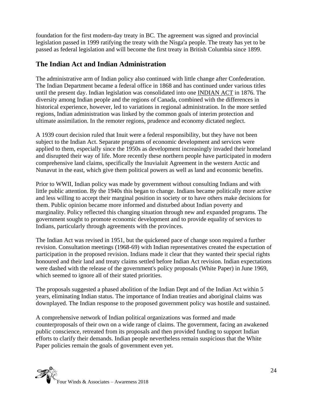foundation for the first modern-day treaty in BC. The agreement was signed and provincial legislation passed in 1999 ratifying the treaty with the Nisga'a people. The treaty has yet to be passed as federal legislation and will become the first treaty in British Columbia since 1899.

# **The Indian Act and Indian Administration**

The administrative arm of Indian policy also continued with little change after Confederation. The Indian Department became a federal office in 1868 and has continued under various titles until the present day. Indian legislation was consolidated into one [INDIAN ACT](../../Four%20Winds%202017/Four%20Winds%202015/My%20Documents/Dan) in 1876. The diversity among Indian people and the regions of Canada, combined with the differences in historical experience, however, led to variations in regional administration. In the more settled regions, Indian administration was linked by the common goals of interim protection and ultimate assimilation. In the remoter regions, prudence and economy dictated neglect.

A 1939 court decision ruled that Inuit were a federal responsibility, but they have not been subject to the Indian Act. Separate programs of economic development and services were applied to them, especially since the 1950s as development increasingly invaded their homeland and disrupted their way of life. More recently these northern people have participated in modern comprehensive land claims, specifically the Inuvialuit Agreement in the western Arctic and Nunavut in the east, which give them political powers as well as land and economic benefits.

Prior to WWII, Indian policy was made by government without consulting Indians and with little public attention. By the 1940s this began to change. Indians became politically more active and less willing to accept their marginal position in society or to have others make decisions for them. Public opinion became more informed and disturbed about Indian poverty and marginality. Policy reflected this changing situation through new and expanded programs. The government sought to promote economic development and to provide equality of services to Indians, particularly through agreements with the provinces.

The Indian Act was revised in 1951, but the quickened pace of change soon required a further revision. Consultation meetings (1968-69) with Indian representatives created the expectation of participation in the proposed revision. Indians made it clear that they wanted their special rights honoured and their land and treaty claims settled before Indian Act revision. Indian expectations were dashed with the release of the government's policy proposals (White Paper) in June 1969, which seemed to ignore all of their stated priorities.

The proposals suggested a phased abolition of the Indian Dept and of the Indian Act within 5 years, eliminating Indian status. The importance of Indian treaties and aboriginal claims was downplayed. The Indian response to the proposed government policy was hostile and sustained.

A comprehensive network of Indian political organizations was formed and made counterproposals of their own on a wide range of claims. The government, facing an awakened public conscience, retreated from its proposals and then provided funding to support Indian efforts to clarify their demands. Indian people nevertheless remain suspicious that the White Paper policies remain the goals of government even yet.

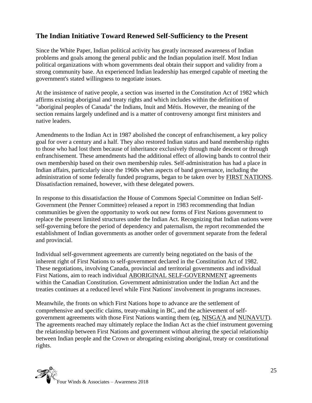# **The Indian Initiative Toward Renewed Self-Sufficiency to the Present**

Since the White Paper, Indian political activity has greatly increased awareness of Indian problems and goals among the general public and the Indian population itself. Most Indian political organizations with whom governments deal obtain their support and validity from a strong community base. An experienced Indian leadership has emerged capable of meeting the government's stated willingness to negotiate issues.

At the insistence of native people, a section was inserted in the Constitution Act of 1982 which affirms existing aboriginal and treaty rights and which includes within the definition of "aboriginal peoples of Canada" the Indians, Inuit and Métis. However, the meaning of the section remains largely undefined and is a matter of controversy amongst first ministers and native leaders.

Amendments to the Indian Act in 1987 abolished the concept of enfranchisement, a key policy goal for over a century and a half. They also restored Indian status and band membership rights to those who had lost them because of inheritance exclusively through male descent or through enfranchisement. These amendments had the additional effect of allowing bands to control their own membership based on their own membership rules. Self-administration has had a place in Indian affairs, particularly since the 1960s when aspects of band governance, including the administration of some federally funded programs, began to be taken over by [FIRST NATIONS.](../../Four%20Winds%202017/Four%20Winds%202015/My%20Documents/Dan) Dissatisfaction remained, however, with these delegated powers.

In response to this dissatisfaction the House of Commons Special Committee on Indian Self-Government (the Penner Committee) released a report in 1983 recommending that Indian communities be given the opportunity to work out new forms of First Nations government to replace the present limited structures under the Indian Act. Recognizing that Indian nations were self-governing before the period of dependency and paternalism, the report recommended the establishment of Indian governments as another order of government separate from the federal and provincial.

Individual self-government agreements are currently being negotiated on the basis of the inherent right of First Nations to self-government declared in the Constitution Act of 1982. These negotiations, involving Canada, provincial and territorial governments and individual First Nations, aim to reach individual [ABORIGINAL SELF-GOVERNMENT](../../Four%20Winds%202017/Four%20Winds%202015/My%20Documents/Dan) agreements within the Canadian Constitution. Government administration under the Indian Act and the treaties continues at a reduced level while First Nations' involvement in programs increases.

Meanwhile, the fronts on which First Nations hope to advance are the settlement of comprehensive and specific claims, treaty-making in BC, and the achievement of selfgovernment agreements with those First Nations wanting them (eg, [NISGA'A](../../Four%20Winds%202017/Four%20Winds%202015/My%20Documents/Dan) and [NUNAVUT\)](../../Four%20Winds%202017/Four%20Winds%202015/My%20Documents/Dan). The agreements reached may ultimately replace the Indian Act as the chief instrument governing the relationship between First Nations and government without altering the special relationship between Indian people and the Crown or abrogating existing aboriginal, treaty or constitutional rights.

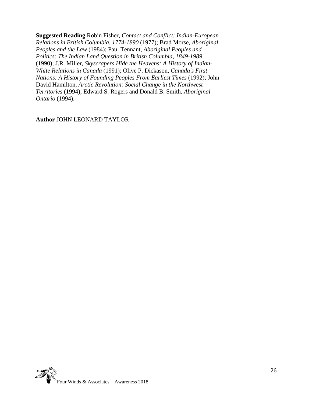**Suggested Reading** Robin Fisher, *Contact and Conflict: Indian-European Relations in British Columbia, 1774-1890* (1977); Brad Morse, *Aboriginal Peoples and the Law* (1984); Paul Tennant, *Aboriginal Peoples and Politics: The Indian Land Question in British Columbia, 1849-1989* (1990); J.R. Miller, *Skyscrapers Hide the Heavens: A History of Indian-White Relations in Canada* (1991); Olive P. Dickason, *Canada's First Nations: A History of Founding Peoples From Earliest Times* (1992); John David Hamilton, *Arctic Revolution: Social Change in the Northwest Territories* (1994); Edward S. Rogers and Donald B. Smith, *Aboriginal Ontario* (1994).

**Author** JOHN LEONARD TAYLOR

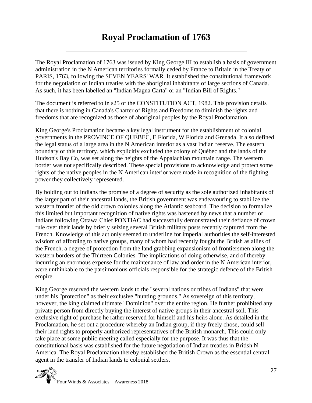# **Royal Proclamation of 1763**

The Royal Proclamation of 1763 was issued by King George III to establish a basis of government administration in the N American territories formally ceded by France to Britain in the Treaty of PARIS, 1763, following the SEVEN YEARS' WAR. It established the constitutional framework for the negotiation of Indian treaties with the aboriginal inhabitants of large sections of Canada. As such, it has been labelled an "Indian Magna Carta" or an "Indian Bill of Rights."

The document is referred to in s25 of the CONSTITUTION ACT, 1982. This provision details that there is nothing in Canada's Charter of Rights and Freedoms to diminish the rights and freedoms that are recognized as those of aboriginal peoples by the Royal Proclamation.

King George's Proclamation became a key legal instrument for the establishment of colonial governments in the PROVINCE OF QUEBEC, E Florida, W Florida and Grenada. It also defined the legal status of a large area in the N American interior as a vast Indian reserve. The eastern boundary of this territory, which explicitly excluded the colony of Québec and the lands of the Hudson's Bay Co, was set along the heights of the Appalachian mountain range. The western border was not specifically described. These special provisions to acknowledge and protect some rights of the native peoples in the N American interior were made in recognition of the fighting power they collectively represented.

By holding out to Indians the promise of a degree of security as the sole authorized inhabitants of the larger part of their ancestral lands, the British government was endeavouring to stabilize the western frontier of the old crown colonies along the Atlantic seaboard. The decision to formalize this limited but important recognition of native rights was hastened by news that a number of Indians following Ottawa Chief PONTIAC had successfully demonstrated their defiance of crown rule over their lands by briefly seizing several British military posts recently captured from the French. Knowledge of this act only seemed to underline for imperial authorities the self-interested wisdom of affording to native groups, many of whom had recently fought the British as allies of the French, a degree of protection from the land grabbing expansionism of frontiersmen along the western borders of the Thirteen Colonies. The implications of doing otherwise, and of thereby incurring an enormous expense for the maintenance of law and order in the N American interior, were unthinkable to the parsimonious officials responsible for the strategic defence of the British empire.

King George reserved the western lands to the "several nations or tribes of Indians" that were under his "protection" as their exclusive "hunting grounds." As sovereign of this territory, however, the king claimed ultimate "Dominion" over the entire region. He further prohibited any private person from directly buying the interest of native groups in their ancestral soil. This exclusive right of purchase he rather reserved for himself and his heirs alone. As detailed in the Proclamation, he set out a procedure whereby an Indian group, if they freely chose, could sell their land rights to properly authorized representatives of the British monarch. This could only take place at some public meeting called especially for the purpose. It was thus that the constitutional basis was established for the future negotiation of Indian treaties in British N America. The Royal Proclamation thereby established the British Crown as the essential central agent in the transfer of Indian lands to colonial settlers.

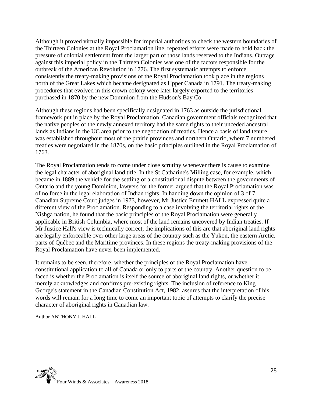Although it proved virtually impossible for imperial authorities to check the western boundaries of the Thirteen Colonies at the Royal Proclamation line, repeated efforts were made to hold back the pressure of colonial settlement from the larger part of those lands reserved to the Indians. Outrage against this imperial policy in the Thirteen Colonies was one of the factors responsible for the outbreak of the American Revolution in 1776. The first systematic attempts to enforce consistently the treaty-making provisions of the Royal Proclamation took place in the regions north of the Great Lakes which became designated as Upper Canada in 1791. The treaty-making procedures that evolved in this crown colony were later largely exported to the territories purchased in 1870 by the new Dominion from the Hudson's Bay Co.

Although these regions had been specifically designated in 1763 as outside the jurisdictional framework put in place by the Royal Proclamation, Canadian government officials recognized that the native peoples of the newly annexed territory had the same rights to their unceded ancestral lands as Indians in the UC area prior to the negotiation of treaties. Hence a basis of land tenure was established throughout most of the prairie provinces and northern Ontario, where 7 numbered treaties were negotiated in the 1870s, on the basic principles outlined in the Royal Proclamation of 1763.

The Royal Proclamation tends to come under close scrutiny whenever there is cause to examine the legal character of aboriginal land title. In the St Catharine's Milling case, for example, which became in 1889 the vehicle for the settling of a constitutional dispute between the governments of Ontario and the young Dominion, lawyers for the former argued that the Royal Proclamation was of no force in the legal elaboration of Indian rights. In handing down the opinion of 3 of 7 Canadian Supreme Court judges in 1973, however, Mr Justice Emmett HALL expressed quite a different view of the Proclamation. Responding to a case involving the territorial rights of the Nishga nation, he found that the basic principles of the Royal Proclamation were generally applicable in British Columbia, where most of the land remains uncovered by Indian treaties. If Mr Justice Hall's view is technically correct, the implications of this are that aboriginal land rights are legally enforceable over other large areas of the country such as the Yukon, the eastern Arctic, parts of Québec and the Maritime provinces. In these regions the treaty-making provisions of the Royal Proclamation have never been implemented.

It remains to be seen, therefore, whether the principles of the Royal Proclamation have constitutional application to all of Canada or only to parts of the country. Another question to be faced is whether the Proclamation is itself the source of aboriginal land rights, or whether it merely acknowledges and confirms pre-existing rights. The inclusion of reference to King George's statement in the Canadian Constitution Act, 1982, assures that the interpretation of his words will remain for a long time to come an important topic of attempts to clarify the precise character of aboriginal rights in Canadian law.

Author ANTHONY J. HALL

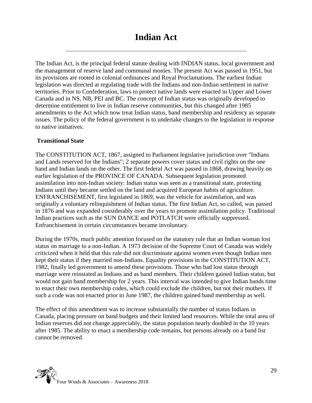The Indian Act, is the principal federal statute dealing with INDIAN status, local government and the management of reserve land and communal monies. The present Act was passed in 1951, but its provisions are rooted in colonial ordinances and Royal Proclamations. The earliest Indian legislation was directed at regulating trade with the Indians and non-Indian settlement in native territories. Prior to Confederation, laws to protect native lands were enacted in Upper and Lower Canada and in NS, NB, PEI and BC. The concept of Indian status was originally developed to determine entitlement to live in Indian reserve communities, but this changed after 1985 amendments to the Act which now treat Indian status, band membership and residency as separate issues. The policy of the federal government is to undertake changes to the legislation in response to native initiatives.

### **Transitional State**

The CONSTITUTION ACT, 1867, assigned to Parliament legislative jurisdiction over "Indians and Lands reserved for the Indians"; 2 separate powers cover status and civil rights on the one hand and Indian lands on the other. The first federal Act was passed in 1868, drawing heavily on earlier legislation of the PROVINCE OF CANADA. Subsequent legislation promoted assimilation into non-Indian society: Indian status was seen as a transitional state, protecting Indians until they became settled on the land and acquired European habits of agriculture. ENFRANCHISEMENT, first legislated in 1869, was the vehicle for assimilation, and was originally a voluntary relinquishment of Indian status. The first Indian Act, so called, was passed in 1876 and was expanded considerably over the years to promote assimilation policy. Traditional Indian practices such as the SUN DANCE and POTLATCH were officially suppressed. Enfranchisement in certain circumstances became involuntary.

During the 1970s, much public attention focused on the statutory rule that an Indian woman lost status on marriage to a non-Indian. A 1973 decision of the Supreme Court of Canada was widely criticized when it held that this rule did not discriminate against women even though Indian men kept their status if they married non-Indians. Equality provisions in the CONSTITUTION ACT, 1982, finally led government to amend these provisions. Those who had lost status through marriage were reinstated as Indians and as band members. Their children gained Indian status, but would not gain band membership for 2 years. This interval was intended to give Indian bands time to enact their own membership codes, which could exclude the children, but not their mothers. If such a code was not enacted prior to June 1987, the children gained band membership as well.

The effect of this amendment was to increase substantially the number of status Indians in Canada, placing pressure on band budgets and their limited land resources. While the total area of Indian reserves did not change appreciably, the status population nearly doubled in the 10 years after 1985. The ability to enact a membership code remains, but persons already on a band list cannot be removed.

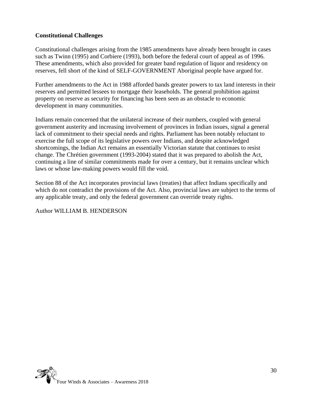# **Constitutional Challenges**

Constitutional challenges arising from the 1985 amendments have already been brought in cases such as Twinn (1995) and Corbiere (1993), both before the federal court of appeal as of 1996. These amendments, which also provided for greater band regulation of liquor and residency on reserves, fell short of the kind of SELF-GOVERNMENT Aboriginal people have argued for.

Further amendments to the Act in 1988 afforded bands greater powers to tax land interests in their reserves and permitted lessees to mortgage their leaseholds. The general prohibition against property on reserve as security for financing has been seen as an obstacle to economic development in many communities.

Indians remain concerned that the unilateral increase of their numbers, coupled with general government austerity and increasing involvement of provinces in Indian issues, signal a general lack of commitment to their special needs and rights. Parliament has been notably reluctant to exercise the full scope of its legislative powers over Indians, and despite acknowledged shortcomings, the Indian Act remains an essentially Victorian statute that continues to resist change. The Chrétien government (1993-2004) stated that it was prepared to abolish the Act, continuing a line of similar commitments made for over a century, but it remains unclear which laws or whose law-making powers would fill the void.

Section 88 of the Act incorporates provincial laws (treaties) that affect Indians specifically and which do not contradict the provisions of the Act. Also, provincial laws are subject to the terms of any applicable treaty, and only the federal government can override treaty rights.

Author WILLIAM B. HENDERSON

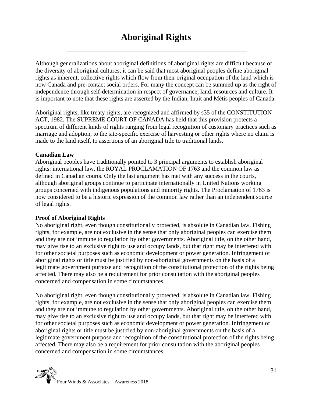Although generalizations about aboriginal definitions of aboriginal rights are difficult because of the diversity of aboriginal cultures, it can be said that most aboriginal peoples define aboriginal rights as inherent, collective rights which flow from their original occupation of the land which is now Canada and pre-contact social orders. For many the concept can be summed up as the right of independence through self-determination in respect of governance, land, resources and culture. It is important to note that these rights are asserted by the Indian, Inuit and Métis peoples of Canada.

Aboriginal rights, like treaty rights, are recognized and affirmed by s35 of the CONSTITUTION ACT, 1982. The SUPREME COURT OF CANADA has held that this provision protects a spectrum of different kinds of rights ranging from legal recognition of customary practices such as marriage and adoption, to the site-specific exercise of harvesting or other rights where no claim is made to the land itself, to assertions of an aboriginal title to traditional lands.

### **Canadian Law**

Aboriginal peoples have traditionally pointed to 3 principal arguments to establish aboriginal rights: international law, the ROYAL PROCLAMATION OF 1763 and the common law as defined in Canadian courts. Only the last argument has met with any success in the courts, although aboriginal groups continue to participate internationally in United Nations working groups concerned with indigenous populations and minority rights. The Proclamation of 1763 is now considered to be a historic expression of the common law rather than an independent source of legal rights.

# **Proof of Aboriginal Rights**

No aboriginal right, even though constitutionally protected, is absolute in Canadian law. Fishing rights, for example, are not exclusive in the sense that only aboriginal peoples can exercise them and they are not immune to regulation by other governments. Aboriginal title, on the other hand, may give rise to an exclusive right to use and occupy lands, but that right may be interfered with for other societal purposes such as economic development or power generation. Infringement of aboriginal rights or title must be justified by non-aboriginal governments on the basis of a legitimate government purpose and recognition of the constitutional protection of the rights being affected. There may also be a requirement for prior consultation with the aboriginal peoples concerned and compensation in some circumstances.

No aboriginal right, even though constitutionally protected, is absolute in Canadian law. Fishing rights, for example, are not exclusive in the sense that only aboriginal peoples can exercise them and they are not immune to regulation by other governments. Aboriginal title, on the other hand, may give rise to an exclusive right to use and occupy lands, but that right may be interfered with for other societal purposes such as economic development or power generation. Infringement of aboriginal rights or title must be justified by non-aboriginal governments on the basis of a legitimate government purpose and recognition of the constitutional protection of the rights being affected. There may also be a requirement for prior consultation with the aboriginal peoples concerned and compensation in some circumstances.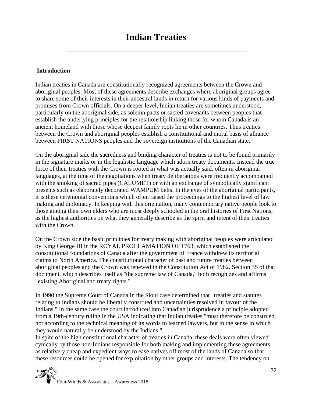### **Introduction**

Indian treaties in Canada are constitutionally recognized agreements between the Crown and aboriginal peoples. Most of these agreements describe exchanges where aboriginal groups agree to share some of their interests in their ancestral lands in return for various kinds of payments and promises from Crown officials. On a deeper level, Indian treaties are sometimes understood, particularly on the aboriginal side, as solemn pacts or sacred covenants between peoples that establish the underlying principles for the relationship linking those for whom Canada is an ancient homeland with those whose deepest family roots lie in other countries. Thus treaties between the Crown and aboriginal peoples establish a constitutional and moral basis of alliance between FIRST NATIONS peoples and the sovereign institutions of the Canadian state.

On the aboriginal side the sacredness and binding character of treaties is not to be found primarily in the signature marks or in the legalistic language which adorn treaty documents. Instead the true force of their treaties with the Crown is rooted in what was actually said, often in aboriginal languages, at the time of the negotiations when treaty deliberations were frequently accompanied with the smoking of sacred pipes (CALUMET) or with an exchange of symbolically significant presents such as elaborately decorated WAMPUM belts. In the eyes of the aboriginal participants, it is these ceremonial conventions which often raised the proceedings to the highest level of law making and diplomacy. In keeping with this orientation, many contemporary native people look to those among their own elders who are most deeply schooled in the oral histories of First Nations, as the highest authorities on what they generally describe as the spirit and intent of their treaties with the Crown.

On the Crown side the basic principles for treaty making with aboriginal peoples were articulated by King George III in the ROYAL PROCLAMATION OF 1763, which established the constitutional foundations of Canada after the government of France withdrew its territorial claims to North America. The constitutional character of past and future treaties between aboriginal peoples and the Crown was renewed in the Constitution Act of 1982. Section 35 of that document, which describes itself as "the supreme law of Canada," both recognizes and affirms "existing Aboriginal and treaty rights."

In 1990 the Supreme Court of Canada in the Sioui case determined that "treaties and statutes relating to Indians should be liberally construed and uncertainties resolved in favour of the Indians." In the same case the court introduced into Canadian jurisprudence a principle adopted from a 19th-century ruling in the USA indicating that Indian treaties "must therefore be construed, not according to the technical meaning of its words to learned lawyers, but in the sense in which they would naturally be understood by the Indians."

In spite of the high constitutional character of treaties in Canada, these deals were often viewed cynically by those non-Indians responsible for both making and implementing these agreements as relatively cheap and expedient ways to ease natives off most of the lands of Canada so that these resources could be opened for exploitation by other groups and interests. The tendency on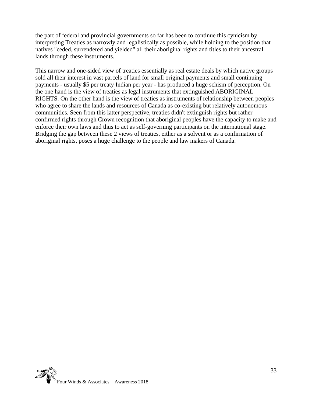the part of federal and provincial governments so far has been to continue this cynicism by interpreting Treaties as narrowly and legalistically as possible, while holding to the position that natives "ceded, surrendered and yielded" all their aboriginal rights and titles to their ancestral lands through these instruments.

This narrow and one-sided view of treaties essentially as real estate deals by which native groups sold all their interest in vast parcels of land for small original payments and small continuing payments - usually \$5 per treaty Indian per year - has produced a huge schism of perception. On the one hand is the view of treaties as legal instruments that extinguished ABORIGINAL RIGHTS. On the other hand is the view of treaties as instruments of relationship between peoples who agree to share the lands and resources of Canada as co-existing but relatively autonomous communities. Seen from this latter perspective, treaties didn't extinguish rights but rather confirmed rights through Crown recognition that aboriginal peoples have the capacity to make and enforce their own laws and thus to act as self-governing participants on the international stage. Bridging the gap between these 2 views of treaties, either as a solvent or as a confirmation of aboriginal rights, poses a huge challenge to the people and law makers of Canada.

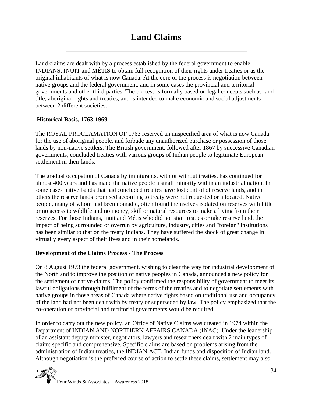Land claims are dealt with by a process established by the federal government to enable INDIANS, INUIT and MÉTIS to obtain full recognition of their rights under treaties or as the original inhabitants of what is now Canada. At the core of the process is negotiation between native groups and the federal government, and in some cases the provincial and territorial governments and other third parties. The process is formally based on legal concepts such as land title, aboriginal rights and treaties, and is intended to make economic and social adjustments between 2 different societies.

# **Historical Basis, 1763-1969**

The ROYAL PROCLAMATION OF 1763 reserved an unspecified area of what is now Canada for the use of aboriginal people, and forbade any unauthorized purchase or possession of those lands by non-native settlers. The British government, followed after 1867 by successive Canadian governments, concluded treaties with various groups of Indian people to legitimate European settlement in their lands.

The gradual occupation of Canada by immigrants, with or without treaties, has continued for almost 400 years and has made the native people a small minority within an industrial nation. In some cases native bands that had concluded treaties have lost control of reserve lands, and in others the reserve lands promised according to treaty were not requested or allocated. Native people, many of whom had been nomadic, often found themselves isolated on reserves with little or no access to wildlife and no money, skill or natural resources to make a living from their reserves. For those Indians, Inuit and Métis who did not sign treaties or take reserve land, the impact of being surrounded or overrun by agriculture, industry, cities and "foreign" institutions has been similar to that on the treaty Indians. They have suffered the shock of great change in virtually every aspect of their lives and in their homelands.

### **Development of the Claims Process - The Process**

On 8 August 1973 the federal government, wishing to clear the way for industrial development of the North and to improve the position of native peoples in Canada, announced a new policy for the settlement of native claims. The policy confirmed the responsibility of government to meet its lawful obligations through fulfilment of the terms of the treaties and to negotiate settlements with native groups in those areas of Canada where native rights based on traditional use and occupancy of the land had not been dealt with by treaty or superseded by law. The policy emphasized that the co-operation of provincial and territorial governments would be required.

In order to carry out the new policy, an Office of Native Claims was created in 1974 within the Department of INDIAN AND NORTHERN AFFAIRS CANADA (INAC). Under the leadership of an assistant deputy minister, negotiators, lawyers and researchers dealt with 2 main types of claim: specific and comprehensive. Specific claims are based on problems arising from the administration of Indian treaties, the INDIAN ACT, Indian funds and disposition of Indian land. Although negotiation is the preferred course of action to settle these claims, settlement may also

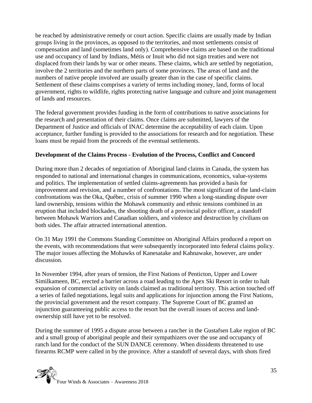be reached by administrative remedy or court action. Specific claims are usually made by Indian groups living in the provinces, as opposed to the territories, and most settlements consist of compensation and land (sometimes land only). Comprehensive claims are based on the traditional use and occupancy of land by Indians, Métis or Inuit who did not sign treaties and were not displaced from their lands by war or other means. These claims, which are settled by negotiation, involve the 2 territories and the northern parts of some provinces. The areas of land and the numbers of native people involved are usually greater than in the case of specific claims. Settlement of these claims comprises a variety of terms including money, land, forms of local government, rights to wildlife, rights protecting native language and culture and joint management of lands and resources.

The federal government provides funding in the form of contributions to native associations for the research and presentation of their claims. Once claims are submitted, lawyers of the Department of Justice and officials of INAC determine the acceptability of each claim. Upon acceptance, further funding is provided to the associations for research and for negotiation. These loans must be repaid from the proceeds of the eventual settlements.

# **Development of the Claims Process - Evolution of the Process, Conflict and Concord**

During more than 2 decades of negotiation of Aboriginal land claims in Canada, the system has responded to national and international changes in communications, economics, value-systems and politics. The implementation of settled claims-agreements has provided a basis for improvement and revision, and a number of confrontations. The most significant of the land-claim confrontations was the Oka, Québec, crisis of summer 1990 when a long-standing dispute over land ownership, tensions within the Mohawk community and ethnic tensions combined in an eruption that included blockades, the shooting death of a provincial police officer, a standoff between Mohawk Warriors and Canadian soldiers, and violence and destruction by civilians on both sides. The affair attracted international attention.

On 31 May 1991 the Commons Standing Committee on Aboriginal Affairs produced a report on the events, with recommendations that were subsequently incorporated into federal claims policy. The major issues affecting the Mohawks of Kanesatake and Kahnawake, however, are under discussion.

In November 1994, after years of tension, the First Nations of Penticton, Upper and Lower Similkameen, BC, erected a barrier across a road leading to the Apex Ski Resort in order to halt expansion of commercial activity on lands claimed as traditional territory. This action touched off a series of failed negotiations, legal suits and applications for injunction among the First Nations, the provincial government and the resort company. The Supreme Court of BC granted an injunction guaranteeing public access to the resort but the overall issues of access and landownership still have yet to be resolved.

During the summer of 1995 a dispute arose between a rancher in the Gustafsen Lake region of BC and a small group of aboriginal people and their sympathizers over the use and occupancy of ranch land for the conduct of the SUN DANCE ceremony. When dissidents threatened to use firearms RCMP were called in by the province. After a standoff of several days, with shots fired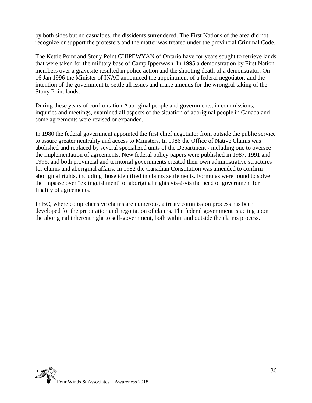by both sides but no casualties, the dissidents surrendered. The First Nations of the area did not recognize or support the protesters and the matter was treated under the provincial Criminal Code.

The Kettle Point and Stony Point CHIPEWYAN of Ontario have for years sought to retrieve lands that were taken for the military base of Camp Ipperwash. In 1995 a demonstration by First Nation members over a gravesite resulted in police action and the shooting death of a demonstrator. On 16 Jan 1996 the Minister of INAC announced the appointment of a federal negotiator, and the intention of the government to settle all issues and make amends for the wrongful taking of the Stony Point lands.

During these years of confrontation Aboriginal people and governments, in commissions, inquiries and meetings, examined all aspects of the situation of aboriginal people in Canada and some agreements were revised or expanded.

In 1980 the federal government appointed the first chief negotiator from outside the public service to assure greater neutrality and access to Ministers. In 1986 the Office of Native Claims was abolished and replaced by several specialized units of the Department - including one to oversee the implementation of agreements. New federal policy papers were published in 1987, 1991 and 1996, and both provincial and territorial governments created their own administrative structures for claims and aboriginal affairs. In 1982 the Canadian Constitution was amended to confirm aboriginal rights, including those identified in claims settlements. Formulas were found to solve the impasse over "extinguishment" of aboriginal rights vis-à-vis the need of government for finality of agreements.

In BC, where comprehensive claims are numerous, a treaty commission process has been developed for the preparation and negotiation of claims. The federal government is acting upon the aboriginal inherent right to self-government, both within and outside the claims process.

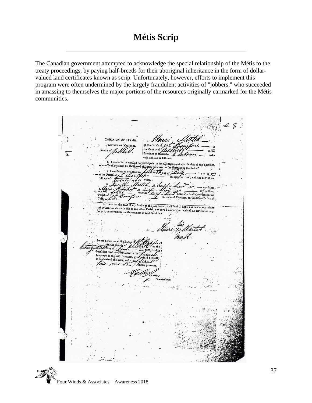The Canadian government attempted to acknowledge the special relationship of the Métis to the treaty proceedings, by paying half-breeds for their aboriginal inheritance in the form of dollarvalued land certificates known as scrip. Unfortunately, however, efforts to implement this program were often undermined by the largely fraudulent activities of "jobbers," who succeeded in amassing to themselves the major portions of the resources originally earmarked for the Métis communities.

DOMINION OF CANADA. of Manitol  $\overline{\mathbf{z}}$  $A = f_0$ ]]. entitled to participate in the allotand distribution of the  $7.40000$ apart for Halfh to the Statutes in that I  $A.D. 18573$ of the full my mother: udent in the fifteenth day of not the head of any family at the last named date and I have not other than the above in this or any other Parish, nor have I chained or made any cla moneys from the Government of said Dominion. a first read guage to the said den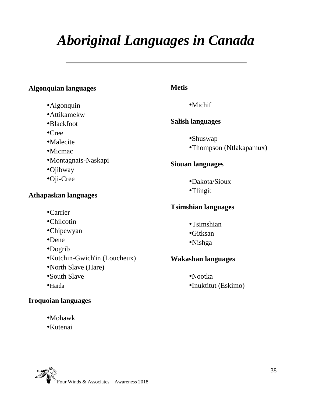# *Aboriginal Languages in Canada*

# **Algonquian languages**

•Algonquin

- •Attikamekw
- •Blackfoot
- •Cree
- •Malecite
- •Micmac
- •Montagnais-Naskapi
- •Ojibway
- •Oji-Cree

# **Athapaskan languages**

- •Carrier
- •Chilcotin
- •Chipewyan
- •Dene
- •Dogrib
- •Kutchin-Gwich'in (Loucheux)
- •North Slave (Hare)
- •South Slave
- •Haida

# **Iroquoian languages**

- •Mohawk
- •Kutenai

# **Metis**

•Michif

# **Salish languages**

•Shuswap •Thompson (Ntlakapamux)

# **Siouan languages**

•Dakota/Sioux •Tlingit

# **Tsimshian languages**

- •Tsimshian
- •Gitksan
- •Nishga

# **Wakashan languages**

•Nootka •Inuktitut (Eskimo)

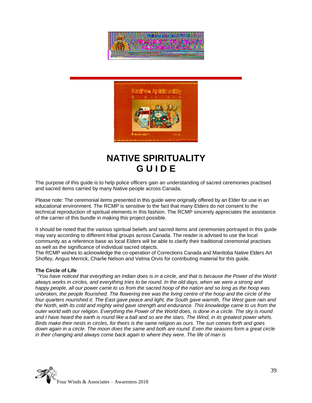



# **NATIVE SPIRITUALITY G U I D E**

The purpose of this guide is to help police officers gain an understanding of sacred ceremonies practised and sacred items carried by many Native people across Canada.

Please note: The ceremonial items presented in this guide were originally offered by an Elder for use in an educational environment. The RCMP is sensitive to the fact that many Elders do not consent to the technical reproduction of spiritual elements in this fashion. The RCMP sincerely appreciates the assistance of the carrier of this bundle in making this project possible.

It should be noted that the various spiritual beliefs and sacred items and ceremonies portrayed in this guide may vary according to different tribal groups across Canada. The reader is advised to use the local community as a reference base as local Elders will be able to clarify their traditional ceremonial practises as well as the significance of individual sacred objects.

The RCMP wishes to acknowledge the co-operation of Corrections Canada and Manitoba Native Elders Art Shofley, Angus Merrick, Charlie Nelson and Velma Orvis for contributing material for this guide.

### **The Circle of Life**

*"You have noticed that everything an Indian does is in a circle, and that is because the Power of the World always works in circles, and everything tries to be round. In the old days, when we were a strong and happy people, all our power came to us from the sacred hoop of the nation and so long as the hoop was unbroken, the people flourished. The flowering tree was the living centre of the hoop and the circle of the four quarters nourished it. The East gave peace and light, the South gave warmth, The West gave rain and the North, with its cold and mighty wind gave strength and endurance. This knowledge came to us from the outer world with our religion. Everything the Power of the World does, is done in a circle. The sky is round and I have heard the earth is round like a ball and so are the stars. The Wind, in its greatest power whirls. Birds make their nests in circles, for theirs is the same religion as ours. The sun comes forth and goes down again in a circle. The moon does the same and both are round. Even the seasons form a great circle in their changing and always come back again to where they were. The life of man is*

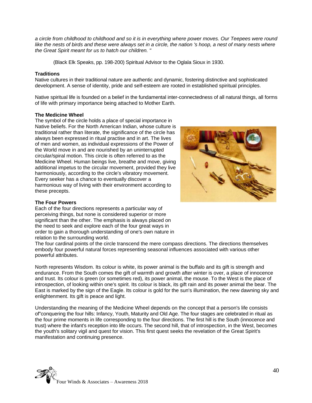*a circle from childhood to childhood and so it is in everything where power moves. Our Teepees were round like the nests of birds and these were always set in a circle, the nation 's hoop, a nest of many nests where the Great Spirit meant for us to hatch our children. "*

(Black Elk Speaks, pp. 198-200) Spiritual Advisor to the Oglala Sioux in 1930.

### **Traditions**

Native cultures in their traditional nature are authentic and dynamic, fostering distinctive and sophisticated development. A sense of identity, pride and self-esteem are rooted in established spiritual principles.

Native spiritual life is founded on a belief in the fundamental inter-connectedness of all natural things, all forms of life with primary importance being attached to Mother Earth.

### **The Medicine Wheel**

The symbol of the circle holds a place of special importance in Native beliefs. For the North American Indian, whose culture is traditional rather than literate, the significance of the circle has always been expressed in ritual practise and in art. The lives of men and women, as individual expressions of the Power of the World move in and are nourished by an uninterrupted circular/spiral motion. This circle is often referred to as the Medicine Wheel. Human beings live, breathe and move, giving additional impetus to the circular movement, provided they live harmoniously, according to the circle's vibratory movement. Every seeker has a chance to eventually discover a harmonious way of living with their environment according to these precepts.



### **The Four Powers**

Each of the four directions represents a particular way of perceiving things, but none is considered superior or more significant than the other. The emphasis is always placed on the need to seek and explore each of the four great ways in order to gain a thorough understanding of one's own nature in relation to the surrounding world.

The four cardinal points of the circle transcend the mere compass directions. The directions themselves embody four powerful natural forces representing seasonal influences associated with various other powerful attributes.

North represents Wisdom. Its colour is white, its power animal is the buffalo and its gift is strength and endurance. From the South comes the gift of warmth and growth after winter is over, a place of innocence and trust. Its colour is green (or sometimes red), its power animal, the mouse. To the West is the place of introspection, of looking within one's spirit. Its colour is black, its gift rain and its power animal the bear. The East is marked by the sign of the Eagle. Its colour is gold for the sun's illumination, the new dawning sky and enlightenment. Its gift is peace and light.

Understanding the meaning of the Medicine Wheel depends on the concept that a person's life consists of"conquering the four hills: Infancy, Youth, Maturity and Old Age. The four stages are celebrated in ritual as the four prime moments in life corresponding to the four directions. The first hill is the South (innocence and trust) where the infant's reception into life occurs. The second hill, that of introspection, in the West, becomes the youth's solitary vigil and quest for vision. This first quest seeks the revelation of the Great Spirit's manifestation and continuing presence.

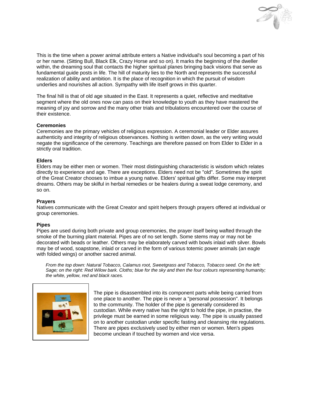

This is the time when a power animal attribute enters a Native individual's soul becoming a part of his or her name. (Sitting Bull, Black Elk, Crazy Horse and so on). It marks the beginning of the dweller within, the dreaming soul that contacts the higher spiritual planes bringing back visions that serve as fundamental guide posts in life. The hill of maturity lies to the North and represents the successful realization of ability and ambition. It is the place of recognition in which the pursuit of wisdom underlies and nourishes all action. Sympathy with life itself grows in this quarter.

The final hill is that of old age situated in the East. It represents a quiet, reflective and meditative segment where the old ones now can pass on their knowledge to youth as they have mastered the meaning of joy and sorrow and the many other trials and tribulations encountered over the course of their existence.

### **Ceremonies**

Ceremonies are the primary vehicles of religious expression. A ceremonial leader or Elder assures authenticity and integrity of religious observances. Nothing is written down, as the very writing would negate the significance of the ceremony. Teachings are therefore passed on from Elder to Elder in a strictly oral tradition.

### **Elders**

Elders may be either men or women. Their most distinguishing characteristic is wisdom which relates directly to experience and age. There are exceptions. Elders need not be "old". Sometimes the spirit of the Great Creator chooses to imbue a young native. Elders' spiritual gifts differ. Some may interpret dreams. Others may be skilful in herbal remedies or be healers during a sweat lodge ceremony, and so on.

### **Prayers**

Natives communicate with the Great Creator and spirit helpers through prayers offered at individual or group ceremonies.

### **Pipes**

Pipes are used during both private and group ceremonies, the prayer itself being wafted through the smoke of the burning plant material. Pipes are of no set length. Some stems may or may not be decorated with beads or leather. Others may be elaborately carved with bowls inlaid with silver. Bowls may be of wood, soapstone, inlaid or carved in the form of various totemic power animals (an eagle with folded wings) or another sacred animal.

*From the top down: Natural Tobacco, Calamus root, Sweetgrass and Tobacco, Tobacco seed. On the left:*  Sage; on the right: Red Wilow bark. Cloths; blue for the sky and then the four colours representing humanity; *the white, yellow, red and black races.*



The pipe is disassembled into its component parts while being carried from one place to another. The pipe is never a "personal possession". It belongs to the community. The holder of the pipe is generally considered its custodian. While every native has the right to hold the pipe, in practise, the privilege must be earned in some religious way. The pipe is usually passed on to another custodian under specific fasting and cleansing rite regulations. There are pipes exclusively used by either men or women. Men's pipes become unclean if touched by women and vice versa.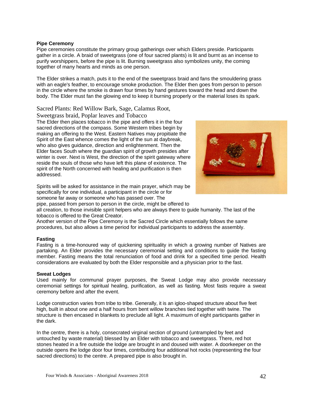### **Pipe Ceremony**

Pipe ceremonies constitute the primary group gatherings over which Elders preside. Participants gather in a circle. A braid of sweetgrass (one of four sacred plants) is lit and burnt as an incense to purify worshippers, before the pipe is lit. Burning sweetgrass also symbolizes unity, the coming together of many hearts and minds as one person.

The Elder strikes a match, puts it to the end of the sweetgrass braid and fans the smouldering grass with an eagle's feather, to encourage smoke production. The Elder then goes from person to person in the circle where the smoke is drawn four times by hand gestures toward the head and down the body. The Elder must fan the glowing end to keep it burning properly or the material loses its spark.

### Sacred Plants: Red Willow Bark, Sage, Calamus Root,

Sweetgrass braid, Poplar leaves and Tobacco The Elder then places tobacco in the pipe and offers it in the four sacred directions of the compass. Some Western tribes begin by making an offering to the West. Eastern Natives may propitiate the Spirit of the East whence comes the light of the sun at daybreak, who also gives guidance, direction and enlightenment. Then the Elder faces South where the guardian spirit of growth presides after winter is over. Next is West, the direction of the spirit gateway where reside the souls of those who have left this plane of existence. The spirit of the North concerned with healing and purification is then addressed.

Spirits will be asked for assistance in the main prayer, which may be specifically for one individual, a participant in the circle or for someone far away or someone who has passed over. The

pipe, passed from person to person in the circle, might be offered to

all creation, to those invisible spirit helpers who are always there to guide humanity. The last of the tobacco is offered to the Great Creator.

Another version of the Pipe Ceremony is the Sacred Circle which essentially follows the same procedures, but also allows a time period for individual participants to address the assembly.

#### **Fasting**

Fasting is a time-honoured way of quickening spirituality in which a growing number of Natives are partaking. An Elder provides the necessary ceremonial setting and conditions to guide the fasting member. Fasting means the total renunciation of food and drink for a specified time period. Health considerations are evaluated by both the Elder responsible and a physician prior to the fast.

#### **Sweat Lodges**

Used mainly for communal prayer purposes, the Sweat Lodge may also provide necessary ceremonial settings for spiritual healing, purification, as well as fasting. Most fasts require a sweat ceremony before and after the event.

Lodge construction varies from tribe to tribe. Generally, it is an igloo-shaped structure about five feet high, built in about one and a half hours from bent willow branches tied together with twine. The structure is then encased in blankets to preclude all light. A maximum of eight participants gather in the dark.

In the centre, there is a holy, consecrated virginal section of ground (untrampled by feet and untouched by waste material) blessed by an Elder with tobacco and sweetgrass. There, red hot stones heated in a fire outside the lodge are brought in and doused with water. A doorkeeper on the outside opens the lodge door four times, contributing four additional hot rocks (representing the four sacred directions) to the centre. A prepared pipe is also brought in.

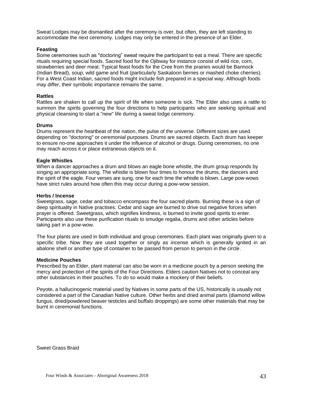Sweat Lodges may be dismantled after the ceremony is over, but often, they are left standing to accommodate the next ceremony. Lodges may only be entered in the presence of an Elder.

### **Feasting**

Some ceremonies such as "doctoring" sweat require the participant to eat a meal. There are specific rituals requiring special foods. Sacred food for the Ojibway for instance consist of wild rice, corn, strawberries and deer meat. Typical feast foods for the Cree from the prairies would be Bannock (Indian Bread), soup, wild game and fruit (particularly Saskatoon berries or mashed choke cherries). For a West Coast Indian, sacred foods might include fish prepared in a special way. Although foods may differ, their symbolic importance remains the same.

#### **Rattles**

Rattles are shaken to call up the spirit of life when someone is sick. The Elder also uses a rattle to summon the spirits governing the four directions to help participants who are seeking spiritual and physical cleansing to start a "new" life during a sweat lodge ceremony.

#### **Drums**

Drums represent the heartbeat of the nation, the pulse of the universe. Different sizes are used depending on "doctoring" or ceremonial purposes. Drums are sacred objects. Each drum has keeper to ensure no-one approaches it under the influence of alcohol or drugs. During ceremonies, no one may reach across it or place extraneous objects on it.

#### **Eagle Whistles**

When a dancer approaches a drum and blows an eagle bone whistle, the drum group responds by singing an appropriate song. The whistle is blown four times to honour the drums, the dancers and the spirit of the eagle. Four verses are sung, one for each time the whistle is blown. Large pow-wows have strict rules around how often this may occur during a pow-wow session.

#### **Herbs / lncense**

Sweetgrass, sage, cedar and tobacco encompass the four sacred plants. Burning these is a sign of deep spirituality in Native practises. Cedar and sage are burned to drive out negative forces when prayer is offered. Sweetgrass, which signifies kindness, is burned to invite good spirits to enter. Participants also use these purification rituals to smudge regalia, drums and other articles before taking part in a pow-wow.

The four plants are used in both individual and group ceremonies. Each plant was originally given to a specific tribe. Now they are used together or singly as incense which is generally ignited in an abalone shell or another type of container to be passed from person to person in the circle.

### **Medicine Pouches**

Prescribed by an Elder, plant material can also be worn in a medicine pouch by a person seeking the mercy and protection of the spirits of the Four Directions. Elders caution Natives not to conceal any other substances in their pouches. To do so would make a mockery of their beliefs.

Peyote, a hallucinogenic material used by Natives in some parts of the US, historically is usually not considered a part of the Canadian Native culture. Other herbs and dried animal parts (diamond willow fungus, dried/powdered beaver testicles and buffalo droppings) are some other materials that may be burnt in ceremonial functions.

Sweet Grass Braid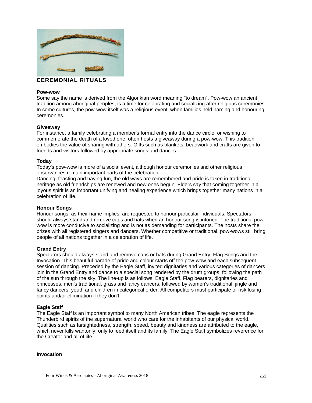

### **CEREMONIAL RITUALS**

#### **Pow-wow**

Some say the name is derived from the Algonkian word meaning "to dream". Pow-wow an ancient tradition among aboriginal peoples, is a time for celebrating and socializing after religious ceremonies. In some cultures, the pow-wow itself was a religious event, when families held naming and honouring ceremonies.

#### **Giveaway**

For instance, a family celebrating a member's formal entry into the dance circle, or wishing to commemorate the death of a loved one, often hosts a giveaway during a pow-wow. This tradition embodies the value of sharing with others. Gifts such as blankets, beadwork and crafts are given to friends and visitors followed by appropriate songs and dances.

#### **Today**

Today's pow-wow is more of a social event, although honour ceremonies and other religious observances remain important parts of the celebration.

Dancing, feasting and having fun, the old ways are remembered and pride is taken in traditional heritage as old friendships are renewed and new ones begun. Elders say that coming together in a joyous spirit is an important unifying and healing experience which brings together many nations in a celebration of life.

#### **Honour Songs**

Honour songs, as their name implies, are requested to honour particular individuals. Spectators should always stand and remove caps and hats when an honour song is intoned. The traditional powwow is more conducive to socializing and is not as demanding for participants. The hosts share the prizes with all registered singers and dancers. Whether competitive or traditional, pow-wows still bring people of all nations together in a celebration of life.

#### **Grand Entry**

Spectators should always stand and remove caps or hats during Grand Entry, Flag Songs and the Invocation. This beautiful parade of pride and colour starts off the pow-wow and each subsequent session of dancing. Preceded by the Eagle Staff, invited dignitaries and various categories of dancers join in the Grand Entry and dance to a special song rendered by the drum groups, following the path of the sun through the sky. The line-up is as follows: Eagle Staff, Flag bearers, dignitaries and princesses, men's traditional, grass and fancy dancers, followed by women's traditional, jingle and fancy dancers, youth and children in categorical order. All competitors must participate or risk losing points and/or elimination if they don't.

#### **Eagle Staff**

The Eagle Staff is an important symbol to many North American tribes. The eagle represents the Thunderbird spirits of the supernatural world who care for the inhabitants of our physical world. Qualities such as farsightedness, strength, speed, beauty and kindness are attributed to the eagle, which never kills wantonly, only to feed itself and its family. The Eagle Staff symbolizes reverence for the Creator and all of life

#### **Invocation**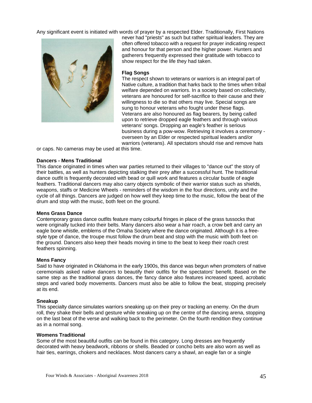Any significant event is initiated with words of prayer by a respected Elder. Traditionally, First Nations



never had "priests" as such but rather spiritual leaders. They are often offered tobacco with a request for prayer indicating respect and honour for that person and the higher power. Hunters and gatherers frequently expressed their gratitude with tobacco to show respect for the life they had taken.

#### **Flag Songs**

The respect shown to veterans or warriors is an integral part of Native culture, a tradition that harks back to the times when tribal welfare depended on warriors. In a society based on collectivity, veterans are honoured for self-sacrifice to their cause and their willingness to die so that others may live. Special songs are sung to honour veterans who fought under these flags. Veterans are also honoured as flag bearers, by being called upon to retrieve dropped eagle feathers and through various veterans' songs. Dropping an eagle's feather is serious business during a pow-wow. Retrieving it involves a ceremony overseen by an Elder or respected spiritual leaders and/or warriors (veterans). All spectators should rise and remove hats

or caps. No cameras may be used at this time.

#### **Dancers - Mens Traditional**

This dance originated in times when war parties returned to their villages to "dance out" the story of their battles, as well as hunters depicting stalking their prey after a successful hunt. The traditional dance outfit is frequently decorated with bead or quill work and features a circular bustle of eagle feathers. Traditional dancers may also carry objects symbolic of their warrior status such as shields, weapons, staffs or Medicine Wheels - reminders of the wisdom in the four directions, unity and the cycle of all things. Dancers are judged on how well they keep time to the music, follow the beat of the drum and stop with the music, both feet on the ground.

#### **Mens Grass Dance**

Contemporary grass dance outfits feature many colourful fringes in place of the grass tussocks that were originally tucked into their belts. Many dancers also wear a hair roach, a crow belt and carry an eagle bone whistle, emblems of the Omaha Society where the dance originated. Although it is a freestyle type of dance, the troupe must follow the drum beat and stop with the music with both feet on the ground. Dancers also keep their heads moving in time to the beat to keep their roach crest feathers spinning.

#### **Mens Fancy**

Said to have originated in Oklahoma in the early 1900s, this dance was begun when promoters of native ceremonials asked native dancers to beautify their outfits for the spectators' benefit. Based on the same step as the traditional grass dances, the fancy dance also features increased speed, acrobatic steps and varied body movements. Dancers must also be able to follow the beat, stopping precisely at its end.

#### **Sneakup**

This specialty dance simulates warriors sneaking up on their prey or tracking an enemy. On the drum roll, they shake their bells and gesture while sneaking up on the centre of the dancing arena, stopping on the last beat of the verse and walking back to the perimeter. On the fourth rendition they continue as in a normal song.

#### **Womens Traditional**

Some of the most beautiful outfits can be found in this category. Long dresses are frequently decorated with heavy beadwork, ribbons or shells. Beaded or concho belts are also worn as well as hair ties, earrings, chokers and necklaces. Most dancers carry a shawl, an eagle fan or a single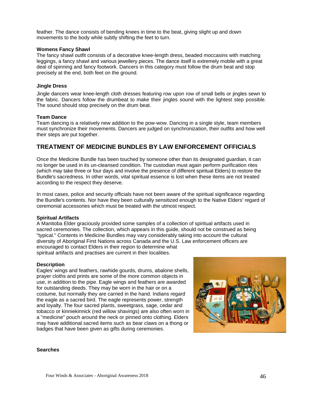feather. The dance consists of bending knees in time to the beat, giving slight up and down movements to the body while subtly shifting the feet to turn.

#### **Womens Fancy Shawl**

The fancy shawl outfit consists of a decorative knee-length dress, beaded moccasins with matching leggings, a fancy shawl and various jewellery pieces. The dance itself is extremely mobile with a great deal of spinning and fancy footwork. Dancers in this category must follow the drum beat and stop precisely at the end, both feet on the ground.

### **Jingle Dress**

Jingle dancers wear knee-length cloth dresses featuring row upon row of small bells or jingles sewn to the fabric. Dancers follow the drumbeat to make their jingles sound with the lightest step possible. The sound should stop precisely on the drum beat.

#### **Team Dance**

Team dancing is a relatively new addition to the pow-wow. Dancing in a single style, team members must synchronize their movements. Dancers are judged on synchronization, their outfits and how well their steps are put together.

### **TREATMENT OF MEDICINE BUNDLES BY LAW ENFORCEMENT OFFICIALS**

Once the Medicine Bundle has been touched by someone other than its designated guardian, it can no longer be used in its un-cleansed condition. The custodian must again perform purification rites (which may take three or four days and involve the presence of different spiritual Elders) to restore the Bundle's sacredness. In other words, vital spiritual essence is lost when these items are not treated according to the respect they deserve.

In most cases, police and security officials have not been aware of the spiritual significance regarding the Bundle's contents. Nor have they been culturally sensitized enough to the Native Elders' regard of ceremonial accessories which must be treated with the utmost respect.

### **Spiritual Artifacts**

A Manitoba Elder graciously provided some samples of a collection of spiritual artifacts used in sacred ceremonies. The collection, which appears in this guide, should not be construed as being "typical." Contents in Medicine Bundles may vary considerably taking into account the cultural diversity of Aboriginal First Nations across Canada and the U.S. Law enforcement officers are encouraged to contact Elders in their region to determine what spiritual artifacts and practises are current in their localities.

### **Description**

Eagles' wings and feathers, rawhide gourds, drums, abalone shells, prayer cloths and prints are some of the more common objects in use, in addition to the pipe. Eagle wings and feathers are awarded for outstanding deeds. They may be worn in the hair or on a costume, but normally they are carried in the hand. Indians regard the eagle as a sacred bird. The eagle represents power, strength and loyalty. The four sacred plants, sweetgrass, sage, cedar and tobacco or kinniekinnick (red willow shavings) are also often worn in a "medicine" pouch around the neck or pinned onto clothing. Elders may have additional sacred items such as bear claws on a thong or badges that have been given as gifts during ceremonies.



#### **Searches**